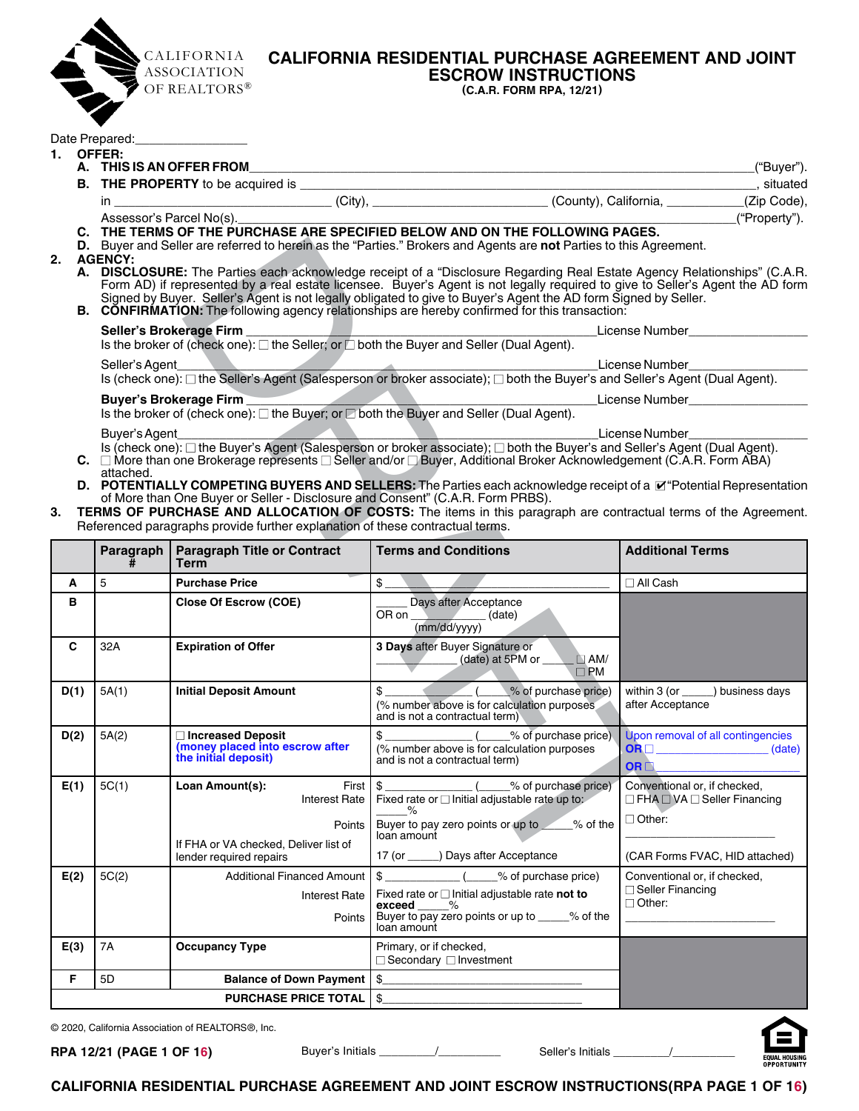

## **CALIFORNIA RESIDENTIAL PURCHASE AGREEMENT AND JOINT ESCROW INSTRUCTIONS**

**(C.A.R. FORM RPA, 12/21)**

#### Date Prepared: **1. OFFER:**

|    |                                                                                                                                               | UFFER:                                                                                         |                                                                                                                                                                                                                                                                                                                                                                               |                                                                                                                                             |               |  |
|----|-----------------------------------------------------------------------------------------------------------------------------------------------|------------------------------------------------------------------------------------------------|-------------------------------------------------------------------------------------------------------------------------------------------------------------------------------------------------------------------------------------------------------------------------------------------------------------------------------------------------------------------------------|---------------------------------------------------------------------------------------------------------------------------------------------|---------------|--|
|    |                                                                                                                                               | A. THIS IS AN OFFER FROM                                                                       |                                                                                                                                                                                                                                                                                                                                                                               |                                                                                                                                             | ("Buyer").    |  |
|    |                                                                                                                                               | <b>B.</b> THE PROPERTY to be acquired is                                                       |                                                                                                                                                                                                                                                                                                                                                                               |                                                                                                                                             | situated      |  |
|    |                                                                                                                                               |                                                                                                |                                                                                                                                                                                                                                                                                                                                                                               | (County), California, _____________                                                                                                         | _(Zip Code),  |  |
|    |                                                                                                                                               | Assessor's Parcel No(s).                                                                       |                                                                                                                                                                                                                                                                                                                                                                               |                                                                                                                                             | ("Property"). |  |
|    |                                                                                                                                               |                                                                                                | C. THE TERMS OF THE PURCHASE ARE SPECIFIED BELOW AND ON THE FOLLOWING PAGES.                                                                                                                                                                                                                                                                                                  |                                                                                                                                             |               |  |
|    |                                                                                                                                               |                                                                                                |                                                                                                                                                                                                                                                                                                                                                                               | D. Buyer and Seller are referred to herein as the "Parties." Brokers and Agents are not Parties to this Agreement.                          |               |  |
| 2. |                                                                                                                                               | <b>AGENCY:</b>                                                                                 |                                                                                                                                                                                                                                                                                                                                                                               |                                                                                                                                             |               |  |
|    |                                                                                                                                               | B. CONFIRMATION: The following agency relationships are hereby confirmed for this transaction: | A. DISCLOSURE: The Parties each acknowledge receipt of a "Disclosure Regarding Real Estate Agency Relationships" (C.A.R.<br>Form AD) if represented by a real estate licensee. Buyer's Agent is not legally required to give to Seller's Agent the AD form<br>Signed by Buyer. Seller's Agent is not legally obligated to give to Buyer's Agent the AD form Signed by Seller. |                                                                                                                                             |               |  |
|    |                                                                                                                                               | Seller's Brokerage Firm                                                                        |                                                                                                                                                                                                                                                                                                                                                                               | License Number <b>Access</b>                                                                                                                |               |  |
|    |                                                                                                                                               | Seller's Agent                                                                                 |                                                                                                                                                                                                                                                                                                                                                                               |                                                                                                                                             |               |  |
|    | License Number<br>Is (check one): □ the Seller's Agent (Salesperson or broker associate); □ both the Buyer's and Seller's Agent (Dual Agent). |                                                                                                |                                                                                                                                                                                                                                                                                                                                                                               |                                                                                                                                             |               |  |
|    | License Number<br>Buyer's Brokerage Firm                                                                                                      |                                                                                                |                                                                                                                                                                                                                                                                                                                                                                               |                                                                                                                                             |               |  |
|    |                                                                                                                                               |                                                                                                | Is the broker of (check one): $\square$ the Buyer; or $\square$ both the Buyer and Seller (Dual Agent).                                                                                                                                                                                                                                                                       |                                                                                                                                             |               |  |
|    |                                                                                                                                               | Buver's Agent                                                                                  |                                                                                                                                                                                                                                                                                                                                                                               | License Number <b>Access</b>                                                                                                                |               |  |
|    |                                                                                                                                               |                                                                                                |                                                                                                                                                                                                                                                                                                                                                                               | Le Calcante avet : Ethio Duriant America (Ontara avenue au bustice anno cipital) : Ethiodic Duriante avent Callaula America (Dural America) |               |  |

- attached. **D. POTENTIALLY COMPETING BUYERS AND SELLERS:** The Parties each acknowledge receipt of a  $\boxtimes$  "Potential Representation
- of More than One Buyer or Seller Disclosure and Consent" (C.A.R. Form PRBS).
- **3. TERMS OF PURCHASE AND ALLOCATION OF COSTS:** The items in this paragraph are contractual terms of the Agreement. Referenced paragraphs provide further explanation of these contractual terms.

| 2. |      | D. Buyer and Seller are referred to herein as the "Parties." Brokers and Agents are not Parties to this Agreement.<br><b>AGENCY:</b><br>A. DISCLOSURE: The Parties each acknowledge receipt of a "Disclosure Regarding Real Estate Agency Relationships" (C.A.R.<br>Form AD) if represented by a real estate licensee. Buyer's Agent is not legally required to give to Seller's Agent the AD form<br>Signed by Buyer. Seller's Agent is not legally obligated to give to Buyer's Agent the AD form Signed by Seller.<br><b>B.</b> CONFIRMATION: The following agency relationships are hereby confirmed for this transaction: |                                                                                |                                                                                                                                       |                                                                                                     |  |
|----|------|--------------------------------------------------------------------------------------------------------------------------------------------------------------------------------------------------------------------------------------------------------------------------------------------------------------------------------------------------------------------------------------------------------------------------------------------------------------------------------------------------------------------------------------------------------------------------------------------------------------------------------|--------------------------------------------------------------------------------|---------------------------------------------------------------------------------------------------------------------------------------|-----------------------------------------------------------------------------------------------------|--|
|    |      |                                                                                                                                                                                                                                                                                                                                                                                                                                                                                                                                                                                                                                | Seller's Brokerage Firm                                                        |                                                                                                                                       | License Number                                                                                      |  |
|    |      |                                                                                                                                                                                                                                                                                                                                                                                                                                                                                                                                                                                                                                |                                                                                | Is the broker of (check one): $\Box$ the Seller; or $\Box$ both the Buyer and Seller (Dual Agent).                                    |                                                                                                     |  |
|    |      | Seller's Agent                                                                                                                                                                                                                                                                                                                                                                                                                                                                                                                                                                                                                 |                                                                                |                                                                                                                                       | License Number                                                                                      |  |
|    |      |                                                                                                                                                                                                                                                                                                                                                                                                                                                                                                                                                                                                                                |                                                                                | Is (check one): $\Box$ the Seller's Agent (Salesperson or broker associate); $\Box$ both the Buyer's and Seller's Agent (Dual Agent). |                                                                                                     |  |
|    |      |                                                                                                                                                                                                                                                                                                                                                                                                                                                                                                                                                                                                                                | <b>Buyer's Brokerage Firm</b>                                                  |                                                                                                                                       | License Number                                                                                      |  |
|    |      |                                                                                                                                                                                                                                                                                                                                                                                                                                                                                                                                                                                                                                |                                                                                | Is the broker of (check one): $\square$ the Buyer; or $\square$ both the Buyer and Seller (Dual Agent).                               |                                                                                                     |  |
|    |      | Buver's Agent                                                                                                                                                                                                                                                                                                                                                                                                                                                                                                                                                                                                                  |                                                                                | Is (check one): □ the Buyer's Agent (Salesperson or broker associate); □ both the Buyer's and Seller's Agent (Dual Agent).            | License Number                                                                                      |  |
|    |      |                                                                                                                                                                                                                                                                                                                                                                                                                                                                                                                                                                                                                                |                                                                                | C. $\Box$ More than one Brokerage represents $\Box$ Seller and/or $\Box$ Buyer, Additional Broker Acknowledgement (C.A.R. Form ABA)   |                                                                                                     |  |
|    |      | attached.                                                                                                                                                                                                                                                                                                                                                                                                                                                                                                                                                                                                                      |                                                                                | D. POTENTIALLY COMPETING BUYERS AND SELLERS: The Parties each acknowledge receipt of a Ø "Potential Representation                    |                                                                                                     |  |
|    |      |                                                                                                                                                                                                                                                                                                                                                                                                                                                                                                                                                                                                                                | of More than One Buyer or Seller - Disclosure and Consent" (C.A.R. Form PRBS). |                                                                                                                                       |                                                                                                     |  |
| 3. |      |                                                                                                                                                                                                                                                                                                                                                                                                                                                                                                                                                                                                                                | Referenced paragraphs provide further explanation of these contractual terms.  | TERMS OF PURCHASE AND ALLOCATION OF COSTS: The items in this paragraph are contractual terms of the Agreement.                        |                                                                                                     |  |
|    |      |                                                                                                                                                                                                                                                                                                                                                                                                                                                                                                                                                                                                                                |                                                                                |                                                                                                                                       |                                                                                                     |  |
|    |      | Paragraph                                                                                                                                                                                                                                                                                                                                                                                                                                                                                                                                                                                                                      | <b>Paragraph Title or Contract</b><br><b>Term</b>                              | <b>Terms and Conditions</b>                                                                                                           | <b>Additional Terms</b>                                                                             |  |
|    | A    | 5                                                                                                                                                                                                                                                                                                                                                                                                                                                                                                                                                                                                                              | <b>Purchase Price</b>                                                          | $\frac{1}{2}$                                                                                                                         | $\Box$ All Cash                                                                                     |  |
|    | в    |                                                                                                                                                                                                                                                                                                                                                                                                                                                                                                                                                                                                                                | <b>Close Of Escrow (COE)</b>                                                   | Days after Acceptance<br>OR on<br>(date)<br>(mm/dd/yyyy)                                                                              |                                                                                                     |  |
|    | C    | 32A                                                                                                                                                                                                                                                                                                                                                                                                                                                                                                                                                                                                                            | <b>Expiration of Offer</b>                                                     | 3 Days after Buyer Signature or<br>(date) at 5PM or $\_\_$<br>$\Box$ AM/<br>$\square$ PM                                              |                                                                                                     |  |
|    | D(1) | 5A(1)                                                                                                                                                                                                                                                                                                                                                                                                                                                                                                                                                                                                                          | <b>Initial Deposit Amount</b>                                                  | ( <b> </b> % of purchase price)<br>\$<br>(% number above is for calculation purposes<br>and is not a contractual term)                | within 3 (or _______) business days<br>after Acceptance                                             |  |
|    | D(2) | 5A(2)                                                                                                                                                                                                                                                                                                                                                                                                                                                                                                                                                                                                                          | □ Increased Deposit<br>(money placed into escrow after<br>the initial deposit) | \$<br>% of purchase price).<br>(% number above is for calculation purposes<br>and is not a contractual term)                          | Upon removal of all contingencies<br><b>OR DESCRIPTION OF PROPERTY</b><br>(date)<br>OR <sub>D</sub> |  |
|    | E(1) | 5C(1)                                                                                                                                                                                                                                                                                                                                                                                                                                                                                                                                                                                                                          | First $\sqrt{S}$<br>Loan Amount(s):<br><b>Interest Rate</b>                    | Fixed rate or □ Initial adjustable rate up to:<br>$\%$                                                                                | Conventional or, if checked,<br>$\Box$ FHA $\Box$ VA $\Box$ Seller Financing                        |  |
|    |      |                                                                                                                                                                                                                                                                                                                                                                                                                                                                                                                                                                                                                                | Points                                                                         | Buyer to pay zero points or up to ____% of the                                                                                        | $\Box$ Other:                                                                                       |  |
|    |      |                                                                                                                                                                                                                                                                                                                                                                                                                                                                                                                                                                                                                                | If FHA or VA checked, Deliver list of                                          | loan amount                                                                                                                           |                                                                                                     |  |
|    |      |                                                                                                                                                                                                                                                                                                                                                                                                                                                                                                                                                                                                                                | lender required repairs                                                        | 17 (or ) Days after Acceptance                                                                                                        | (CAR Forms FVAC, HID attached)                                                                      |  |
|    | E(2) | 5C(2)                                                                                                                                                                                                                                                                                                                                                                                                                                                                                                                                                                                                                          | Additional Financed Amount   \$                                                | (_____% of purchase price)                                                                                                            | Conventional or, if checked,<br>$\Box$ Seller Financing                                             |  |
|    |      |                                                                                                                                                                                                                                                                                                                                                                                                                                                                                                                                                                                                                                | <b>Interest Rate</b>                                                           | Fixed rate or $\Box$ Initial adjustable rate not to<br>exceed<br>$\%$                                                                 | $\Box$ Other:                                                                                       |  |
|    |      |                                                                                                                                                                                                                                                                                                                                                                                                                                                                                                                                                                                                                                | Points                                                                         | Buyer to pay zero points or up to _____% of the<br>loan amount                                                                        |                                                                                                     |  |
|    | E(3) | 7A                                                                                                                                                                                                                                                                                                                                                                                                                                                                                                                                                                                                                             | <b>Occupancy Type</b>                                                          | Primary, or if checked,<br>$\Box$ Secondary $\Box$ Investment                                                                         |                                                                                                     |  |
|    | F    | 5D                                                                                                                                                                                                                                                                                                                                                                                                                                                                                                                                                                                                                             | <b>Balance of Down Payment</b>                                                 | $\mathfrak{S}$                                                                                                                        |                                                                                                     |  |
|    |      |                                                                                                                                                                                                                                                                                                                                                                                                                                                                                                                                                                                                                                | PURCHASE PRICE TOTAL                                                           | $\mathfrak{S}$                                                                                                                        |                                                                                                     |  |
|    |      |                                                                                                                                                                                                                                                                                                                                                                                                                                                                                                                                                                                                                                |                                                                                |                                                                                                                                       |                                                                                                     |  |

© 2020, California Association of REALTORS®, Inc.

**RPA 12/21 (PAGE 1 OF 16)** 

Buyer's Initials \_\_\_\_\_\_\_\_\_/\_\_\_\_\_\_\_\_\_\_ Seller's Initials \_\_\_\_\_\_\_\_\_/\_\_\_\_\_\_\_\_\_\_



**CALIFORNIA RESIDENTIAL PURCHASE AGREEMENT AND JOINT ESCROW INSTRUCTIONS(RPA PAGE 1 OF 16)**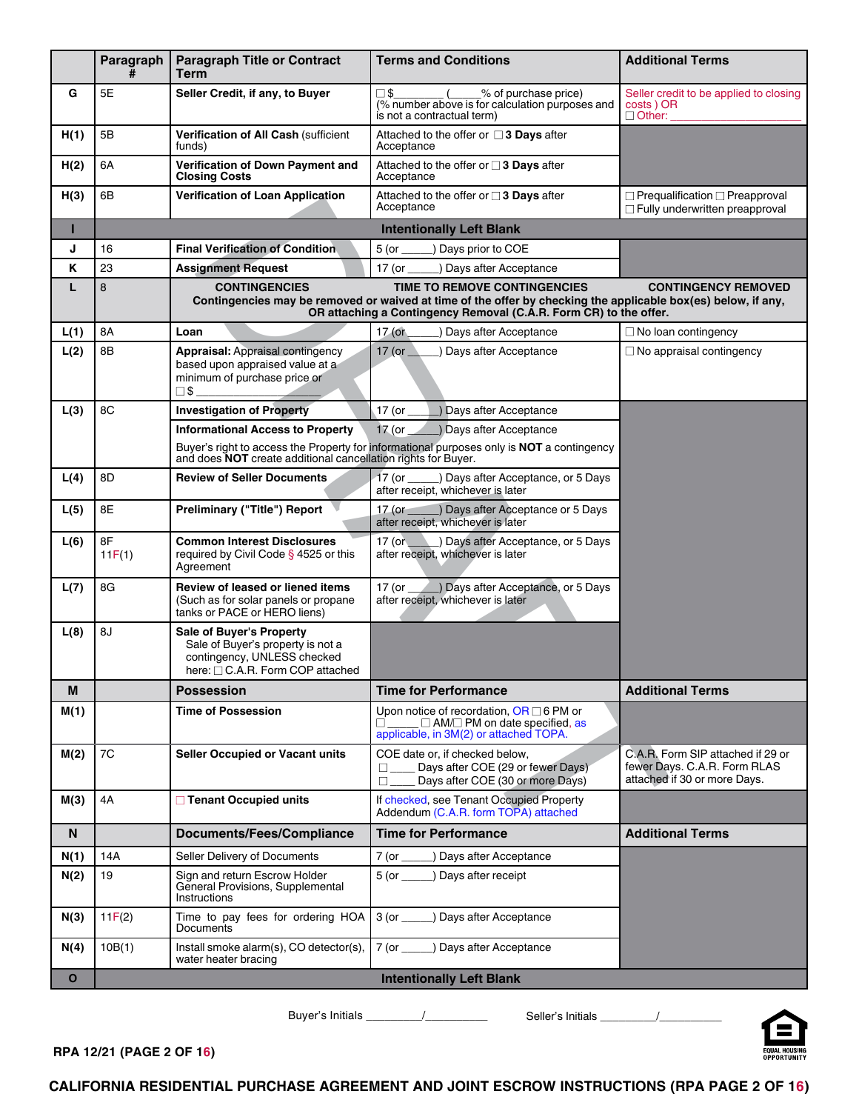|              | Paragraph    | <b>Paragraph Title or Contract</b><br>Term                                                                                                   | <b>Terms and Conditions</b>                                                                                                                                                        | <b>Additional Terms</b>                                                                           |
|--------------|--------------|----------------------------------------------------------------------------------------------------------------------------------------------|------------------------------------------------------------------------------------------------------------------------------------------------------------------------------------|---------------------------------------------------------------------------------------------------|
| G            | 5E           | Seller Credit, if any, to Buyer                                                                                                              | $\square$ \$<br>% of purchase price)<br>(% number above is for calculation purposes and<br>is not a contractual term)                                                              | Seller credit to be applied to closing<br>costs) OR<br>$\Box$ Other:                              |
| H(1)         | 5B           | Verification of All Cash (sufficient<br>funds)                                                                                               | Attached to the offer or $\Box$ 3 Days after<br>Acceptance                                                                                                                         |                                                                                                   |
| H(2)         | 6A           | Verification of Down Payment and<br><b>Closing Costs</b>                                                                                     | Attached to the offer or □ 3 Days after<br>Acceptance                                                                                                                              |                                                                                                   |
| H(3)         | 6B           | Verification of Loan Application                                                                                                             | Attached to the offer or $\Box$ 3 Days after<br>Acceptance                                                                                                                         | $\Box$ Prequalification $\Box$ Preapproval<br>$\Box$ Fully underwritten preapproval               |
| п            |              |                                                                                                                                              | <b>Intentionally Left Blank</b>                                                                                                                                                    |                                                                                                   |
| J            | 16           | <b>Final Verification of Condition</b>                                                                                                       | 5 (or _<br>) Days prior to COE                                                                                                                                                     |                                                                                                   |
| Κ            | 23           | <b>Assignment Request</b>                                                                                                                    | 17 (or<br>Days after Acceptance                                                                                                                                                    |                                                                                                   |
| L            | 8            | <b>CONTINGENCIES</b>                                                                                                                         | TIME TO REMOVE CONTINGENCIES                                                                                                                                                       | <b>CONTINGENCY REMOVED</b>                                                                        |
|              |              |                                                                                                                                              | Contingencies may be removed or waived at time of the offer by checking the applicable box(es) below, if any,<br>OR attaching a Contingency Removal (C.A.R. Form CR) to the offer. |                                                                                                   |
| L(1)         | <b>8A</b>    | Loan                                                                                                                                         | 17 (or<br>Days after Acceptance                                                                                                                                                    | $\Box$ No loan contingency                                                                        |
| L(2)         | 8B           | <b>Appraisal: Appraisal contingency</b><br>based upon appraised value at a<br>minimum of purchase price or<br>$\square$ \$                   | $17$ (or<br>Days after Acceptance                                                                                                                                                  | $\Box$ No appraisal contingency                                                                   |
| L(3)         | 8C           | <b>Investigation of Property</b>                                                                                                             | 17 (or<br>Days after Acceptance                                                                                                                                                    |                                                                                                   |
|              |              | <b>Informational Access to Property</b>                                                                                                      | $17$ (or<br>) Days after Acceptance                                                                                                                                                |                                                                                                   |
|              |              | and does NOT create additional cancellation rights for Buyer.                                                                                | Buyer's right to access the Property for informational purposes only is NOT a contingency                                                                                          |                                                                                                   |
| L(4)         | 8D           | <b>Review of Seller Documents</b>                                                                                                            | 17 (or<br>) Days after Acceptance, or 5 Days<br>after receipt, whichever is later                                                                                                  |                                                                                                   |
| L(5)         | 8E           | Preliminary ("Title") Report                                                                                                                 | ) Days after Acceptance or 5 Days<br>17 (or<br>after receipt, whichever is later                                                                                                   |                                                                                                   |
| L(6)         | 8F<br>11F(1) | <b>Common Interest Disclosures</b><br>required by Civil Code $\S$ 4525 or this<br>Agreement                                                  | ) Days after Acceptance, or 5 Days<br>17 (or<br>after receipt, whichever is later                                                                                                  |                                                                                                   |
| L(7)         | 8G           | <b>Review of leased or liened items</b><br>(Such as for solar panels or propane<br>tanks or PACE or HERO liens)                              | ) Days after Acceptance, or 5 Days<br>17 (or<br>after receipt, whichever is later                                                                                                  |                                                                                                   |
| L(8)         | 8J           | <b>Sale of Buyer's Property</b><br>Sale of Buyer's property is not a<br>contingency, UNLESS checked<br>here: $\Box$ C.A.R. Form COP attached |                                                                                                                                                                                    |                                                                                                   |
| M            |              | <b>Possession</b>                                                                                                                            | <b>Time for Performance</b>                                                                                                                                                        | <b>Additional Terms</b>                                                                           |
| M(1)         |              | <b>Time of Possession</b>                                                                                                                    | Upon notice of recordation. OR $\square$ 6 PM or<br>$\Box$ AM/ $\Box$ PM on date specified, as<br>□<br>applicable, in 3M(2) or attached TOPA.                                      |                                                                                                   |
| M(2)         | 7C           | <b>Seller Occupied or Vacant units</b>                                                                                                       | COE date or, if checked below,<br>Days after COE (29 or fewer Days)<br>$\Box$<br>Days after COE (30 or more Days)<br>$\Box$                                                        | C.A.R. Form SIP attached if 29 or<br>fewer Days. C.A.R. Form RLAS<br>attached if 30 or more Days. |
| M(3)         | 4A           | □ Tenant Occupied units                                                                                                                      | If checked, see Tenant Occupied Property<br>Addendum (C.A.R. form TOPA) attached                                                                                                   |                                                                                                   |
| N            |              | <b>Documents/Fees/Compliance</b>                                                                                                             | <b>Time for Performance</b>                                                                                                                                                        | <b>Additional Terms</b>                                                                           |
| N(1)         | 14A          | Seller Delivery of Documents                                                                                                                 | $7$ (or $-$<br>Days after Acceptance                                                                                                                                               |                                                                                                   |
| N(2)         | 19           | Sign and return Escrow Holder<br>General Provisions, Supplemental<br>Instructions                                                            | Days after receipt<br>5 (or                                                                                                                                                        |                                                                                                   |
| N(3)         | 11F(2)       | Time to pay fees for ordering HOA<br>Documents                                                                                               | $3($ or $\overline{\phantom{0}}$<br>) Days after Acceptance                                                                                                                        |                                                                                                   |
| N(4)         | 10B(1)       | Install smoke alarm(s), CO detector(s),<br>water heater bracing                                                                              | $7$ (or $\_$<br>) Days after Acceptance                                                                                                                                            |                                                                                                   |
| $\mathbf{o}$ |              |                                                                                                                                              | <b>Intentionally Left Blank</b>                                                                                                                                                    |                                                                                                   |

Buyer's Initials \_\_\_\_\_\_\_\_\_/\_\_\_\_\_\_\_\_\_\_ Seller's Initials \_\_\_\_\_\_\_\_\_/\_\_\_\_\_\_\_\_\_\_



**RPA 12/21 (PAGE 2 OF 16)** 

**CALIFORNIA RESIDENTIAL PURCHASE AGREEMENT AND JOINT ESCROW INSTRUCTIONS (RPA PAGE 2 OF 16)**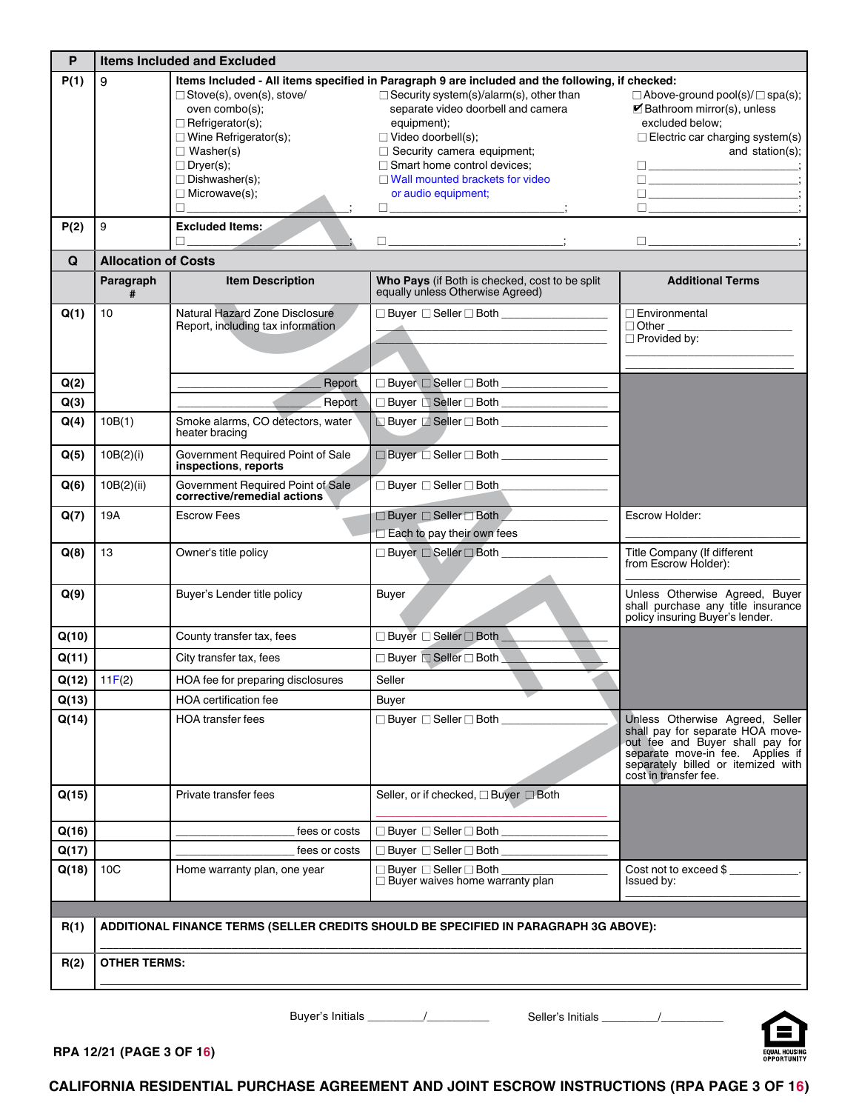| P     | <b>Items Included and Excluded</b>                                                                   |                                                                  |                                                                            |                                                                                                                                                                                                           |  |  |
|-------|------------------------------------------------------------------------------------------------------|------------------------------------------------------------------|----------------------------------------------------------------------------|-----------------------------------------------------------------------------------------------------------------------------------------------------------------------------------------------------------|--|--|
| P(1)  | 9<br>Items Included - All items specified in Paragraph 9 are included and the following, if checked: |                                                                  |                                                                            |                                                                                                                                                                                                           |  |  |
|       |                                                                                                      | $\Box$ Stove(s), oven(s), stove/                                 | $\Box$ Security system(s)/alarm(s), other than                             | $\Box$ Above-ground pool(s)/ $\Box$ spa(s);                                                                                                                                                               |  |  |
|       |                                                                                                      | oven combo(s);                                                   | separate video doorbell and camera                                         | ■ Bathroom mirror(s), unless                                                                                                                                                                              |  |  |
|       |                                                                                                      | $\Box$ Refrigerator(s);                                          | equipment);                                                                | excluded below:                                                                                                                                                                                           |  |  |
|       |                                                                                                      | $\square$ Wine Refrigerator(s);<br>$\Box$ Washer(s)              | $\Box$ Video doorbell(s);<br>Security camera equipment;                    | $\Box$ Electric car charging system(s)<br>and station(s);                                                                                                                                                 |  |  |
|       |                                                                                                      | $\Box$ Dryer(s);                                                 | Smart home control devices;                                                |                                                                                                                                                                                                           |  |  |
|       |                                                                                                      | $\square$ Dishwasher(s);                                         | $\Box$ Wall mounted brackets for video                                     |                                                                                                                                                                                                           |  |  |
|       |                                                                                                      | $\Box$ Microwave(s);                                             | or audio equipment;                                                        |                                                                                                                                                                                                           |  |  |
|       |                                                                                                      | □                                                                | □                                                                          |                                                                                                                                                                                                           |  |  |
| P(2)  | 9                                                                                                    | <b>Excluded Items:</b><br>$\Box$                                 |                                                                            |                                                                                                                                                                                                           |  |  |
| Q     | <b>Allocation of Costs</b>                                                                           |                                                                  |                                                                            |                                                                                                                                                                                                           |  |  |
|       | Paragraph                                                                                            | <b>Item Description</b>                                          | Who Pays (if Both is checked, cost to be split                             | <b>Additional Terms</b>                                                                                                                                                                                   |  |  |
|       | #                                                                                                    |                                                                  | equally unless Otherwise Agreed)                                           |                                                                                                                                                                                                           |  |  |
| Q(1)  | 10                                                                                                   | Natural Hazard Zone Disclosure                                   | □ Buyer □ Seller □ Both ________________                                   | Environmental                                                                                                                                                                                             |  |  |
|       |                                                                                                      | Report, including tax information                                | <u> 2000 - Jan Barnett, fransk politik (d. 1982)</u>                       | $\Box$ Other                                                                                                                                                                                              |  |  |
|       |                                                                                                      |                                                                  | the control of the control of the control of the control of the control of | $\Box$ Provided by:                                                                                                                                                                                       |  |  |
|       |                                                                                                      |                                                                  |                                                                            |                                                                                                                                                                                                           |  |  |
| Q(2)  |                                                                                                      | Report                                                           | □ Buyer □ Seller □ Both <u>_________________</u>                           |                                                                                                                                                                                                           |  |  |
| Q(3)  |                                                                                                      | Report                                                           | □ Buyer □ Seller □ Both __________________                                 |                                                                                                                                                                                                           |  |  |
| Q(4)  | 10B(1)                                                                                               | Smoke alarms, CO detectors, water                                | □ Buyer □ Seller □ Both __________________                                 |                                                                                                                                                                                                           |  |  |
|       |                                                                                                      | heater bracing                                                   |                                                                            |                                                                                                                                                                                                           |  |  |
| Q(5)  | 10B(2)(i)                                                                                            | Government Required Point of Sale<br>inspections, reports        | □ Buyer □ Seller □ Both __________________                                 |                                                                                                                                                                                                           |  |  |
| Q(6)  | 10B(2)(ii)                                                                                           | Government Required Point of Sale<br>corrective/remedial actions | □ Buyer □ Seller □ Both _________________                                  |                                                                                                                                                                                                           |  |  |
| Q(7)  | 19A                                                                                                  | <b>Escrow Fees</b>                                               | □ Buyer □ Seller □ Both<br><u> 1990 - Johann Barnett, fransk politiker</u> | Escrow Holder:                                                                                                                                                                                            |  |  |
|       |                                                                                                      |                                                                  | $\Box$ Each to pay their own fees                                          |                                                                                                                                                                                                           |  |  |
| Q(8)  | 13                                                                                                   | Owner's title policy                                             | □ Buyer □ Seller □ Both _________________                                  | Title Company (If different                                                                                                                                                                               |  |  |
|       |                                                                                                      |                                                                  |                                                                            | from Escrow Holder):                                                                                                                                                                                      |  |  |
|       |                                                                                                      |                                                                  |                                                                            |                                                                                                                                                                                                           |  |  |
| Q(9)  |                                                                                                      | Buyer's Lender title policy                                      | Buyer                                                                      | Unless Otherwise Agreed, Buyer<br>shall purchase any title insurance<br>policy insuring Buyer's lender.                                                                                                   |  |  |
| Q(10) |                                                                                                      | County transfer tax, fees                                        | □ Buyer □ Seller □ Both                                                    |                                                                                                                                                                                                           |  |  |
| Q(11) |                                                                                                      | City transfer tax, fees                                          | □ Buyer □ Seller □ Both                                                    |                                                                                                                                                                                                           |  |  |
|       | $Q(12)$ 11F(2)                                                                                       | HOA fee for preparing disclosures                                | Seller                                                                     |                                                                                                                                                                                                           |  |  |
| Q(13) |                                                                                                      | <b>HOA</b> certification fee                                     | Buyer                                                                      |                                                                                                                                                                                                           |  |  |
| Q(14) |                                                                                                      | <b>HOA</b> transfer fees                                         | □ Buyer □ Seller □ Both ____                                               | Unless Otherwise Agreed, Seller<br>shall pay for separate HOA move-<br>out fee and Buyer shall pay for<br>separate move in fee. Applies if<br>separately billed or itemized with<br>cost in transfer fee. |  |  |
| Q(15) |                                                                                                      | Private transfer fees                                            | Seller, or if checked, □ Buyer □ Both                                      |                                                                                                                                                                                                           |  |  |
| Q(16) |                                                                                                      | fees or costs                                                    | □ Buyer □ Seller □ Both ___                                                |                                                                                                                                                                                                           |  |  |
| Q(17) |                                                                                                      | fees or costs                                                    | $\Box$ Buyer $\Box$ Seller $\Box$ Both                                     |                                                                                                                                                                                                           |  |  |
| Q(18) | 10 <sub>C</sub>                                                                                      | Home warranty plan, one year                                     | $\Box$ Buyer $\Box$ Seller $\Box$ Both                                     | Cost not to exceed \$                                                                                                                                                                                     |  |  |
|       |                                                                                                      |                                                                  | $\Box$ Buyer waives home warranty plan                                     | Issued by:                                                                                                                                                                                                |  |  |
|       |                                                                                                      |                                                                  |                                                                            |                                                                                                                                                                                                           |  |  |
|       |                                                                                                      |                                                                  |                                                                            |                                                                                                                                                                                                           |  |  |
| R(1)  | ADDITIONAL FINANCE TERMS (SELLER CREDITS SHOULD BE SPECIFIED IN PARAGRAPH 3G ABOVE):                 |                                                                  |                                                                            |                                                                                                                                                                                                           |  |  |
|       |                                                                                                      |                                                                  |                                                                            |                                                                                                                                                                                                           |  |  |
| R(2)  | <b>OTHER TERMS:</b>                                                                                  |                                                                  |                                                                            |                                                                                                                                                                                                           |  |  |
|       |                                                                                                      |                                                                  |                                                                            |                                                                                                                                                                                                           |  |  |

Buyer's Initials \_\_\_\_\_\_\_\_\_/\_\_\_\_\_\_\_\_\_\_ Seller's Initials \_\_\_\_\_\_\_\_\_/\_\_\_\_\_\_\_\_\_\_



**RPA 12/21 (PAGE 3 OF 16)** 

## **CALIFORNIA RESIDENTIAL PURCHASE AGREEMENT AND JOINT ESCROW INSTRUCTIONS (RPA PAGE 3 OF 16)**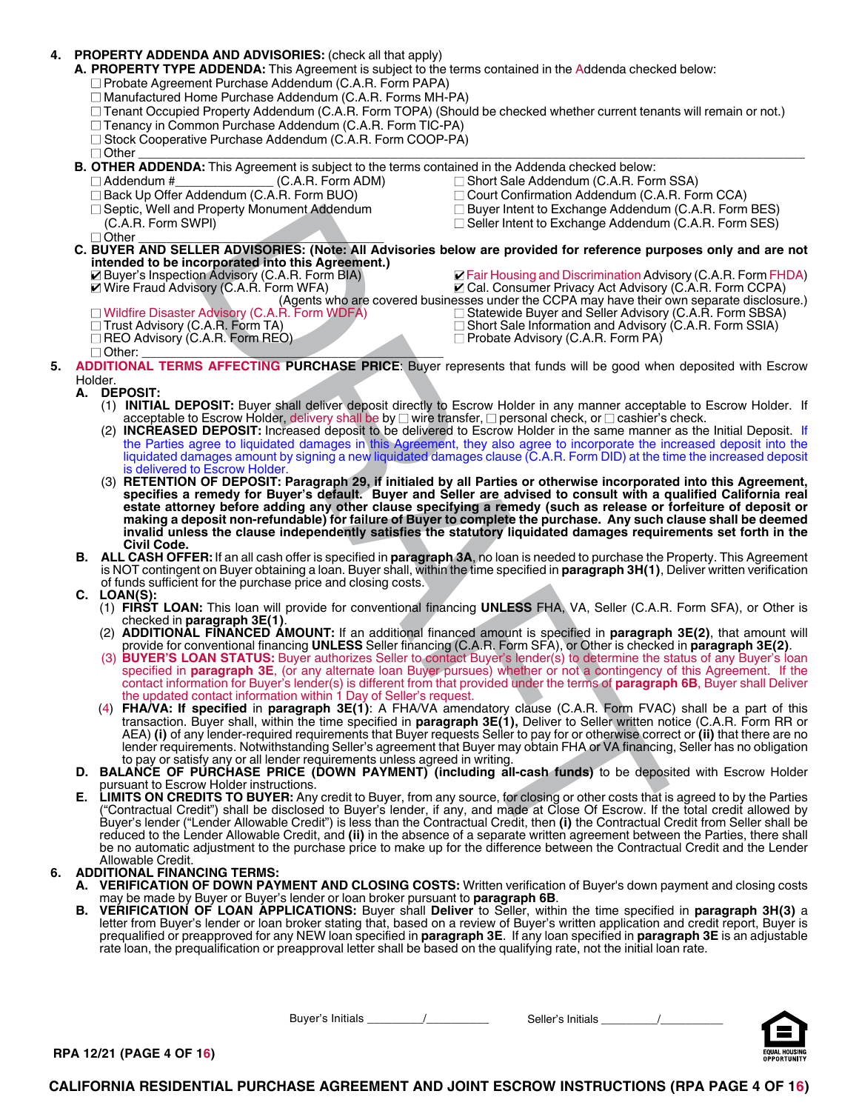- **4. PROPERTY ADDENDA AND ADVISORIES:** (check all that apply)
	- **A. PROPERTY TYPE ADDENDA:** This Agreement is subject to the terms contained in the Addenda checked below:  $\Box$  Probate Agreement Purchase Addendum (C.A.R. Form PAPA)
		- $\Box$  Manufactured Home Purchase Addendum (C.A.R. Forms MH-PA)
		- $\Box$  Tenant Occupied Property Addendum (C.A.R. Form TOPA) (Should be checked whether current tenants will remain or not.)
		- $\Box$  Tenancy in Common Purchase Addendum (C.A.R. Form TIC-PA)
		- □ Stock Cooperative Purchase Addendum (C.A.R. Form COOP-PA)<br>□ Other

- n Other \_\_\_\_\_\_\_\_\_\_\_\_\_\_\_\_\_\_\_\_\_\_\_\_\_\_\_\_\_\_\_\_\_\_\_\_\_\_\_\_\_\_\_\_\_\_\_\_\_\_\_\_\_\_\_\_\_\_\_\_\_\_\_\_\_\_\_\_\_\_\_\_\_\_\_\_\_\_\_\_\_\_\_\_\_\_\_\_\_\_\_\_\_\_\_ **B. OTHER ADDENDA:** This Agreement is subject to the terms contained in the Addenda checked below:<br>
□ Addendum # (C.A.R. Form ADM) □ Short Sale Addendum (C.A.R. Form
	-
	-
	-
	- n Addendum #\_\_\_\_\_\_\_\_\_\_\_\_\_\_ (C.A.R. Form ADM) n Short Sale Addendum (C.A.R. Form SSA)
	- □ Back Up Offer Addendum (C.A.R. Form BUO) <br>□ Court Confirmation Addendum C.A.R. Form CCA) <br>□ Buyer Intent to Exchange Addendum (C.A.R. Form
		- Septic, Well and Property Monument Addendum <br>C.A.R. Form SWPI) Geller Intent to Exchange Addendum (C.A.R. Form SES)
	- (C.A.R. Form SWPI) □ Seller Intent to Exchange Addendum (C.A.R. Form SES)<br>□ Other
- n Other \_\_\_\_\_\_\_\_\_\_\_\_\_\_\_\_\_\_\_\_\_\_\_\_\_\_\_\_\_\_\_\_\_\_\_ **C. BUYER AND SELLER ADVISORIES: (Note: All Advisories below are provided for reference purposes only and are not intended to be incorporated into this Agreement.)**
	- $\blacksquare$  Buyer's Inspection Advisory (C.A.R. Form BIA)  $\blacksquare$  Wire Fraud Advisory (C.A.R. Form WFA)  $\blacksquare$
	- **⊠ Fair Housing and Discrimination Advisory (C.A.R. Form FHDA)** <br>**⊠ Cal. Consumer Privacy Act Advisory (C.A.R. Form CCPA) z** Wire Fraud Advisory (C.A.R. Form WFA) n Cal. Consumer Privacy Act Advisory (C.A.R. Form CCPA)
	- The Mildfire Disaster Advisory (C.A.R. Form WDFA)<br>
	 Catewide Buyer and Seller Advisory (C.A.R. Form SBSA)

 $\square$  Short Sale Information and Advisory (C.A.R. Form SSIA)  $\square$  Probate Advisory (C.A.R. Form PA)

- **N** Wildfire Disaster Advisory (C.A.R. Form WDFA) Distatewide Buyer and Seller Advisory (C.A.R. Form SBSA) Distance Trust Advisory (C.A.R. Form SSIA)
- 
- □ REO Advisory (C.A.R. Form REO)<br>□ Other
- 
- n Other: \_\_\_\_\_\_\_\_\_\_\_\_\_\_\_\_\_\_\_\_\_\_\_\_\_\_\_\_\_\_\_\_\_\_\_\_\_\_\_\_\_\_\_ **5. ADDITIONAL TERMS AFFECTING PURCHASE PRICE**: Buyer represents that funds will be good when deposited with Escrow Holder.
	- **A. DEPOSIT:**
		- (1) **INITIAL DEPOSIT:** Buyer shall deliver deposit directly to Escrow Holder in any manner acceptable to Escrow Holder. If acceptable to Escrow Holder, delivery shall be by  $\Box$  wire transfer,  $\Box$  personal check, or  $\Box$  cashier's check.
		- (2) **INCREASED DEPOSIT:** Increased deposit to be delivered to Escrow Holder in the same manner as the Initial Deposit. If the Parties agree to liquidated damages in this Agreement, they also agree to incorporate the increased deposit into the liquidated damages amount by signing a new liquidated damages clause (C.A.R. Form DID) at the time the increased deposit is delivered to Escrow Holder.
- Property Monument Addendum<br>
LER ADVISORIES: (Note All Advisories below are provided for reference purp<br>
COME CRIME CAP (Agreement)<br>
DSaller Interior de Soviet of reference purp<br>
COME CAP (Agreement)<br>
2012 Can Consumer Pri (3) **RETENTION OF DEPOSIT: Paragraph 29, if initialed by all Parties or otherwise incorporated into this Agreement, specifies a remedy for Buyer's default. Buyer and Seller are advised to consult with a qualified California real estate attorney before adding any other clause specifying a remedy (such as release or forfeiture of deposit or making a deposit non-refundable) for failure of Buyer to complete the purchase. Any such clause shall be deemed invalid unless the clause independently satisfies the statutory liquidated damages requirements set forth in the Civil Code.**
	- **B. ALL CASH OFFER:** If an all cash offer is specified in **paragraph 3A**, no loan is needed to purchase the Property. This Agreement is NOT contingent on Buyer obtaining a loan. Buyer shall, within the time specified in **paragraph 3H(1)**, Deliver written verification of funds sufficient for the purchase price and closing costs.
	- **C. LOAN(S):**
		- (1) **FIRST LOAN:** This loan will provide for conventional financing **UNLESS** FHA, VA, Seller (C.A.R. Form SFA), or Other is checked in **paragraph 3E(1)**.
		- (2) **ADDITIONAL FINANCED AMOUNT:** If an additional financed amount is specified in **paragraph 3E(2)**, that amount will provide for conventional financing **UNLESS** Seller financing (C.A.R. Form SFA), or Other is checked in **paragraph 3E(2)**.
		- (3) **BUYER'S LOAN STATUS:** Buyer authorizes Seller to contact Buyer's lender(s) to determine the status of any Buyer's loan specified in **paragraph 3E**, (or any alternate loan Buyer pursues) whether or not a contingency of this Agreement. If the contact information for Buyer's lender(s) is different from that provided under the terms of **paragraph 6B**, Buyer shall Deliver the updated contact information within 1 Day of Seller's request.
		- (4) **FHA/VA: If specified** in **paragraph 3E(1)**: A FHA/VA amendatory clause (C.A.R. Form FVAC) shall be a part of this transaction. Buyer shall, within the time specified in **paragraph 3E(1),** Deliver to Seller written notice (C.A.R. Form RR or AEA) **(i)** of any lender-required requirements that Buyer requests Seller to pay for or otherwise correct or **(ii)** that there are no lender requirements. Notwithstanding Seller's agreement that Buyer may obtain FHA or VA financing, Seller has no obligation to pay or satisfy any or all lender requirements unless agreed in writing.
	- **D. BALANCE OF PURCHASE PRICE (DOWN PAYMENT) (including all-cash funds)** to be deposited with Escrow Holder pursuant to Escrow Holder instructions.
	- **E. LIMITS ON CREDITS TO BUYER:** Any credit to Buyer, from any source, for closing or other costs that is agreed to by the Parties ("Contractual Credit") shall be disclosed to Buyer's lender, if any, and made at Close Of Escrow. If the total credit allowed by Buyer's lender ("Lender Allowable Credit") is less than the Contractual Credit, then **(i)** the Contractual Credit from Seller shall be reduced to the Lender Allowable Credit, and **(ii)** in the absence of a separate written agreement between the Parties, there shall be no automatic adjustment to the purchase price to make up for the difference between the Contractual Credit and the Lender Allowable Credit.
- **6. ADDITIONAL FINANCING TERMS:**
	- **A. VERIFICATION OF DOWN PAYMENT AND CLOSING COSTS:** Written verification of Buyer's down payment and closing costs may be made by Buyer or Buyer's lender or loan broker pursuant to **paragraph 6B**.
	- **B. VERIFICATION OF LOAN APPLICATIONS:** Buyer shall **Deliver** to Seller, within the time specified in **paragraph 3H(3)** a letter from Buyer's lender or loan broker stating that, based on a review of Buyer's written application and credit report, Buyer is prequalified or preapproved for any NEW loan specified in **paragraph 3E**. If any loan specified in **paragraph 3E** is an adjustable rate loan, the prequalification or preapproval letter shall be based on the qualifying rate, not the initial loan rate.

Buyer's Initials \_\_\_\_\_\_\_\_\_/\_\_\_\_\_\_\_\_\_\_ Seller's Initials \_\_\_\_\_\_\_\_\_/\_\_\_\_\_\_\_\_\_\_



**RPA 12/21 (PAGE 4 OF 16)** 

**CALIFORNIA RESIDENTIAL PURCHASE AGREEMENT AND JOINT ESCROW INSTRUCTIONS (RPA PAGE 4 OF 16)**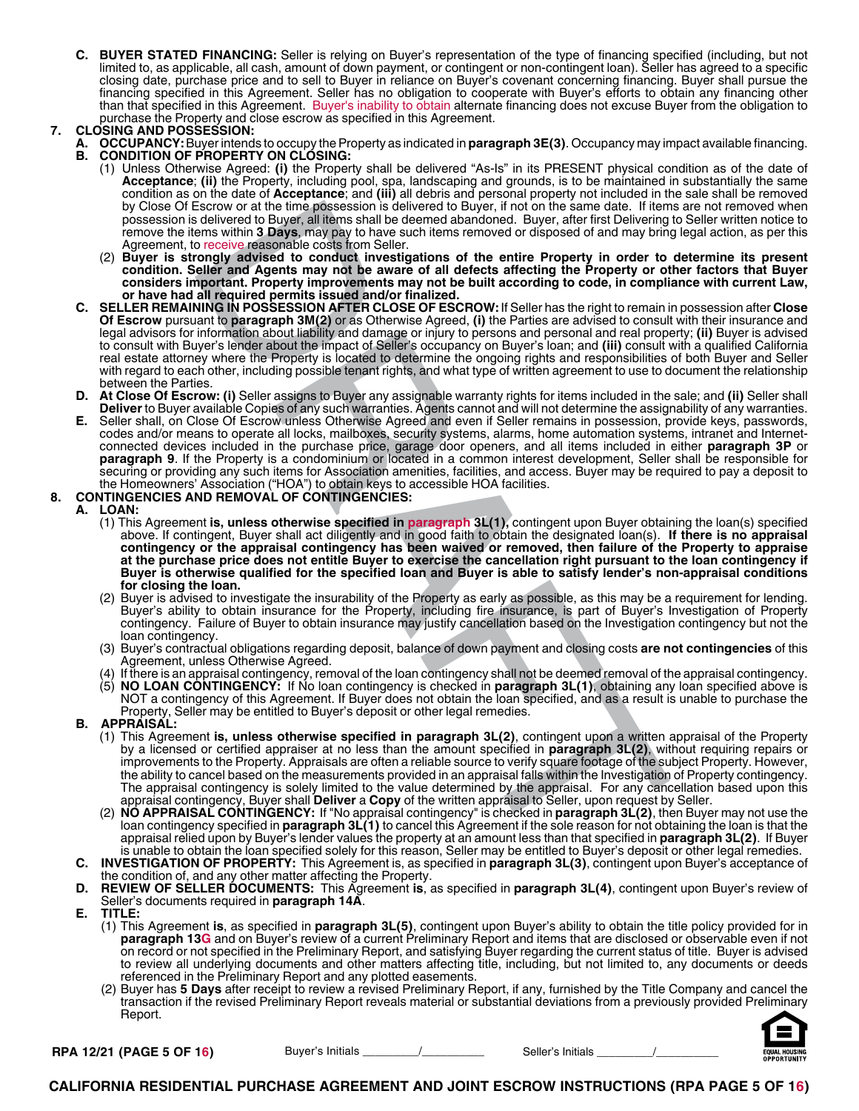**C. BUYER STATED FINANCING:** Seller is relying on Buyer's representation of the type of financing specified (including, but not limited to, as applicable, all cash, amount of down payment, or contingent or non-contingent loan). Seller has agreed to a specific closing date, purchase price and to sell to Buyer in reliance on Buyer's covenant concerning financing. Buyer shall pursue the financing specified in this Agreement. Seller has no obligation to cooperate with Buyer's efforts to obtain any financing other than that specified in this Agreement. Buyer's inability to obtain alternate financing does not excuse Buyer from the obligation to purchase the Property and close escrow as specified in this Agreement.

### **7. CLOSING AND POSSESSION:**

- **A. OCCUPANCY:** Buyer intends to occupy the Property as indicated in **paragraph 3E(3)**. Occupancy may impact available financing. **B. CONDITION OF PROPERTY ON CLOSING:**
	- (1) Unless Otherwise Agreed: **(i)** the Property shall be delivered "As-Is" in its PRESENT physical condition as of the date of **Acceptance**; **(ii)** the Property, including pool, spa, landscaping and grounds, is to be maintained in substantially the same condition as on the date of **Acceptance**; and **(iii)** all debris and personal property not included in the sale shall be removed by Close Of Escrow or at the time possession is delivered to Buyer, if not on the same date. If items are not removed when possession is delivered to Buyer, all items shall be deemed abandoned. Buyer, after first Delivering to Seller written notice to remove the items within **3 Days**, may pay to have such items removed or disposed of and may bring legal action, as per this Agreement, to receive reasonable costs from Seller.
	- (2) **Buyer is strongly advised to conduct investigations of the entire Property in order to determine its present condition. Seller and Agents may not be aware of all defects affecting the Property or other factors that Buyer considers important. Property improvements may not be built according to code, in compliance with current Law, or have had all required permits issued and/or finalized.**
- Second or at the time possession is idelivered to Buyer, if not on the same data. If they may be mapply to have alcottomy of dispersion in the same data if they may be mapply to have alcottomy on the same of all detects af **C. SELLER REMAINING IN POSSESSION AFTER CLOSE OF ESCROW:** If Seller has the right to remain in possession after **Close Of Escrow** pursuant to **paragraph 3M(2)** or as Otherwise Agreed, **(i)** the Parties are advised to consult with their insurance and legal advisors for information about liability and damage or injury to persons and personal and real property; **(ii)** Buyer is advised to consult with Buyer's lender about the impact of Seller's occupancy on Buyer's loan; and **(iii)** consult with a qualified California real estate attorney where the Property is located to determine the ongoing rights and responsibilities of both Buyer and Seller with regard to each other, including possible tenant rights, and what type of written agreement to use to document the relationship between the Parties.
- **D. At Close Of Escrow: (i)** Seller assigns to Buyer any assignable warranty rights for items included in the sale; and **(ii)** Seller shall **Deliver** to Buyer available Copies of any such warranties. Agents cannot and will not determine the assignability of any warranties.
- **E.** Seller shall, on Close Of Escrow unless Otherwise Agreed and even if Seller remains in possession, provide keys, passwords, codes and/or means to operate all locks, mailboxes, security systems, alarms, home automation systems, intranet and Internetconnected devices included in the purchase price, garage door openers, and all items included in either **paragraph 3P** or **paragraph 9**. If the Property is a condominium or located in a common interest development, Seller shall be responsible for securing or providing any such items for Association amenities, facilities, and access. Buyer may be required to pay a deposit to the Homeowners' Association ("HOA") to obtain keys to accessible HOA facilities.

### **8. CONTINGENCIES AND REMOVAL OF CONTINGENCIES:**

- **A. LOAN:**
	- (1) This Agreement **is, unless otherwise specified in paragraph 3L(1),** contingent upon Buyer obtaining the loan(s) specified above. If contingent, Buyer shall act diligently and in good faith to obtain the designated loan(s). **If there is no appraisal contingency or the appraisal contingency has been waived or removed, then failure of the Property to appraise at the purchase price does not entitle Buyer to exercise the cancellation right pursuant to the loan contingency if Buyer is otherwise qualified for the specified loan and Buyer is able to satisfy lender's non-appraisal conditions for closing the loan.**
	- (2) Buyer is advised to investigate the insurability of the Property as early as possible, as this may be a requirement for lending. Buyer's ability to obtain insurance for the Property, including fire insurance, is part of Buyer's Investigation of Property contingency. Failure of Buyer to obtain insurance may justify cancellation based on the Investigation contingency but not the loan contingency.
	- (3) Buyer's contractual obligations regarding deposit, balance of down payment and closing costs **are not contingencies** of this Agreement, unless Otherwise Agreed.
	- (4) If there is an appraisal contingency, removal of the loan contingency shall not be deemed removal of the appraisal contingency. (5) **NO LOAN CONTINGENCY:** If No loan contingency is checked in **paragraph 3L(1)**, obtaining any loan specified above is NOT a contingency of this Agreement. If Buyer does not obtain the loan specified, and as a result is unable to purchase the Property, Seller may be entitled to Buyer's deposit or other legal remedies.
- **B. APPRAISAL:**
	- (1) This Agreement **is, unless otherwise specified in paragraph 3L(2)**, contingent upon a written appraisal of the Property by a licensed or certified appraiser at no less than the amount specified in **paragraph 3L(2)**, without requiring repairs or improvements to the Property. Appraisals are often a reliable source to verify square footage of the subject Property. However, the ability to cancel based on the measurements provided in an appraisal falls within the Investigation of Property contingency. The appraisal contingency is solely limited to the value determined by the appraisal. For any cancellation based upon this appraisal contingency, Buyer shall **Deliver** a **Copy** of the written appraisal to Seller, upon request by Seller.
	- (2) **NO APPRAISAL CONTINGENCY:** If "No appraisal contingency" is checked in **paragraph 3L(2)**, then Buyer may not use the loan contingency specified in **paragraph 3L(1)** to cancel this Agreement if the sole reason for not obtaining the loan is that the appraisal relied upon by Buyer's lender values the property at an amount less than that specified in **paragraph 3L(2)**. If Buyer is unable to obtain the loan specified solely for this reason, Seller may be entitled to Buyer's deposit or other legal remedies.
- **C. INVESTIGATION OF PROPERTY:** This Agreement is, as specified in **paragraph 3L(3)**, contingent upon Buyer's acceptance of the condition of, and any other matter affecting the Property.
- **D. REVIEW OF SELLER DOCUMENTS:** This Agreement **is**, as specified in **paragraph 3L(4)**, contingent upon Buyer's review of Seller's documents required in **paragraph 14A**.
- **E. TITLE:**
	- (1) This Agreement **is**, as specified in **paragraph 3L(5)**, contingent upon Buyer's ability to obtain the title policy provided for in **paragraph 13G** and on Buyer's review of a current Preliminary Report and items that are disclosed or observable even if not on record or not specified in the Preliminary Report, and satisfying Buyer regarding the current status of title. Buyer is advised to review all underlying documents and other matters affecting title, including, but not limited to, any documents or deeds referenced in the Preliminary Report and any plotted easements.
	- (2) Buyer has **5 Days** after receipt to review a revised Preliminary Report, if any, furnished by the Title Company and cancel the transaction if the revised Preliminary Report reveals material or substantial deviations from a previously provided Preliminary Report.



Buyer's Initials \_\_\_\_\_\_\_\_\_\_/\_\_\_\_\_\_\_\_\_\_\_\_\_\_\_\_\_\_\_\_\_Seller's Initials \_\_\_\_\_\_\_\_\_\_\_\_\_

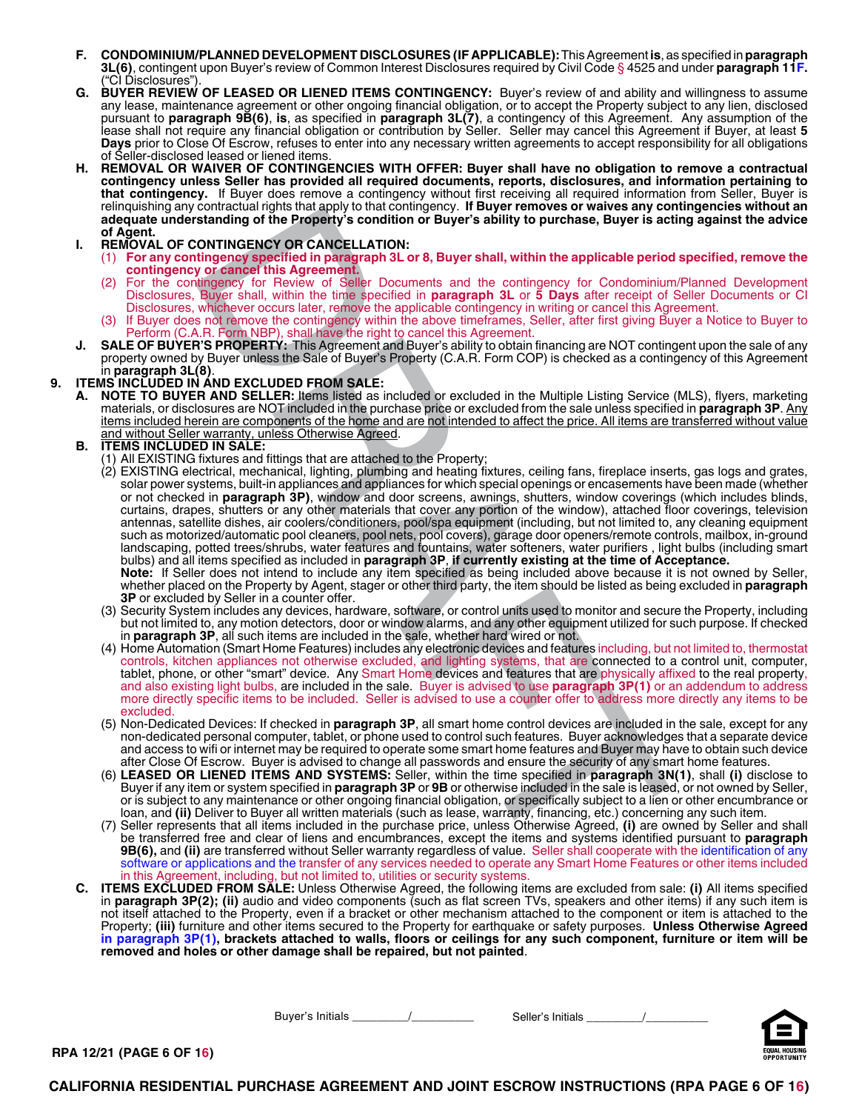- **F. CONDOMINIUM/PLANNED DEVELOPMENT DISCLOSURES (IF APPLICABLE):** This Agreement **is**, as specified in **paragraph 3L(6)**, contingent upon Buyer's review of Common Interest Disclosures required by Civil Code § 4525 and under **paragraph 11F.** ("CI Disclosures").
- **G. BUYER REVIEW OF LEASED OR LIENED ITEMS CONTINGENCY:** Buyer's review of and ability and willingness to assume any lease, maintenance agreement or other ongoing financial obligation, or to accept the Property subject to any lien, disclosed pursuant to **paragraph 9B(6)**, **is**, as specified in **paragraph 3L(7)**, a contingency of this Agreement. Any assumption of the lease shall not require any financial obligation or contribution by Seller. Seller may cancel this Agreement if Buyer, at least **5 Days** prior to Close Of Escrow, refuses to enter into any necessary written agreements to accept responsibility for all obligations of Seller-disclosed leased or liened items.
- **H. REMOVAL OR WAIVER OF CONTINGENCIES WITH OFFER: Buyer shall have no obligation to remove a contractual contingency unless Seller has provided all required documents, reports, disclosures, and information pertaining to that contingency.** If Buyer does remove a contingency without first receiving all required information from Seller, Buyer is relinquishing any contractual rights that apply to that contingency. **If Buyer removes or waives any contingencies without an adequate understanding of the Property's condition or Buyer's ability to purchase, Buyer is acting against the advice of Agent.**
- **I. REMOVAL OF CONTINGENCY OR CANCELLATION:**
	- (1) **For any contingency specified in paragraph 3L or 8, Buyer shall, within the applicable period specified, remove the contingency or cancel this Agreement.**
	- (2) For the contingency for Review of Seller Documents and the contingency for Condominium/Planned Development Disclosures, Buyer shall, within the time specified in **paragraph 3L** or **5 Days** after receipt of Seller Documents or CI Disclosures, whichever occurs later, remove the applicable contingency in writing or cancel this Agreement.
	- If Buyer does not remove the contingency within the above timeframes, Seller, after first giving Buyer a Notice to Buyer to Perform (C.A.R. Form NBP), shall have the right to cancel this Agreement.
- **J. SALE OF BUYER'S PROPERTY:** This Agreement and Buyer's ability to obtain financing are NOT contingent upon the sale of any property owned by Buyer unless the Sale of Buyer's Property (C.A.R. Form COP) is checked as a contingency of this Agreement in **paragraph 3L(8)**.

### **9. ITEMS INCLUDED IN AND EXCLUDED FROM SALE:**

**A. NOTE TO BUYER AND SELLER:** Items listed as included or excluded in the Multiple Listing Service (MLS), flyers, marketing materials, or disclosures are NOT included in the purchase price or excluded from the sale unless specified in **paragraph 3P**. Any items included herein are components of the home and are not intended to affect the price. All items are transferred without value and without Seller warranty, unless Otherwise Agreed.

### **B. ITEMS INCLUDED IN SALE:**

- (1) All EXISTING fixtures and fittings that are attached to the Property;
- contringency of the Property is constrained by the property in the two security and the constrained in the Property's condition of Buyer's athlift to purchase, Buyer's activity to purchase and the constrained by or constra (2) EXISTING electrical, mechanical, lighting, plumbing and heating fixtures, ceiling fans, fireplace inserts, gas logs and grates, solar power systems, built-in appliances and appliances for which special openings or encasements have been made (whether or not checked in **paragraph 3P)**, window and door screens, awnings, shutters, window coverings (which includes blinds, curtains, drapes, shutters or any other materials that cover any portion of the window), attached floor coverings, television antennas, satellite dishes, air coolers/conditioners, pool/spa equipment (including, but not limited to, any cleaning equipment such as motorized/automatic pool cleaners, pool nets, pool covers), garage door openers/remote controls, mailbox, in-ground landscaping, potted trees/shrubs, water features and fountains, water softeners, water purifiers , light bulbs (including smart bulbs) and all items specified as included in **paragraph 3P**, **if currently existing at the time of Acceptance. Note:** If Seller does not intend to include any item specified as being included above because it is not owned by Seller,

whether placed on the Property by Agent, stager or other third party, the item should be listed as being excluded in **paragraph 3P** or excluded by Seller in a counter offer. (3) Security System includes any devices, hardware, software, or control units used to monitor and secure the Property, including

- but not limited to, any motion detectors, door or window alarms, and any other equipment utilized for such purpose. If checked in **paragraph 3P**, all such items are included in the sale, whether hard wired or not.
- (4) Home Automation (Smart Home Features) includes any electronic devices and features including, but not limited to, thermostat controls, kitchen appliances not otherwise excluded, and lighting systems, that are connected to a control unit, computer, tablet, phone, or other "smart" device. Any Smart Home devices and features that are physically affixed to the real property, and also existing light bulbs, are included in the sale. Buyer is advised to use **paragraph 3P(1)** or an addendum to address more directly specific items to be included. Seller is advised to use a counter offer to address more directly any items to be excluded.
- (5) Non-Dedicated Devices: If checked in **paragraph 3P**, all smart home control devices are included in the sale, except for any non-dedicated personal computer, tablet, or phone used to control such features. Buyer acknowledges that a separate device and access to wifi or internet may be required to operate some smart home features and Buyer may have to obtain such device after Close Of Escrow. Buyer is advised to change all passwords and ensure the security of any smart home features.
- (6) **LEASED OR LIENED ITEMS AND SYSTEMS:** Seller, within the time specified in **paragraph 3N(1)**, shall **(i)** disclose to Buyer if any item or system specified in **paragraph 3P** or **9B** or otherwise included in the sale is leased, or not owned by Seller, or is subject to any maintenance or other ongoing financial obligation, or specifically subject to a lien or other encumbrance or loan, and **(ii)** Deliver to Buyer all written materials (such as lease, warranty, financing, etc.) concerning any such item.
- (7) Seller represents that all items included in the purchase price, unless Otherwise Agreed, **(i)** are owned by Seller and shall be transferred free and clear of liens and encumbrances, except the items and systems identified pursuant to **paragraph 9B(6),** and **(ii)** are transferred without Seller warranty regardless of value. Seller shall cooperate with the identification of any software or applications and the transfer of any services needed to operate any Smart Home Features or other items included in this Agreement, including, but not limited to, utilities or security systems.
- **C. ITEMS EXCLUDED FROM SALE:** Unless Otherwise Agreed, the following items are excluded from sale: **(i)** All items specified in **paragraph 3P(2); (ii)** audio and video components (such as flat screen TVs, speakers and other items) if any such item is not itself attached to the Property, even if a bracket or other mechanism attached to the component or item is attached to the Property; **(iii)** furniture and other items secured to the Property for earthquake or safety purposes. **Unless Otherwise Agreed in paragraph 3P(1), brackets attached to walls, floors or ceilings for any such component, furniture or item will be removed and holes or other damage shall be repaired, but not painted**.

Buyer's Initials \_\_\_\_\_\_\_\_\_/\_\_\_\_\_\_\_\_\_\_ Seller's Initials \_\_\_\_\_\_\_\_\_/\_\_\_\_\_\_\_\_\_\_



**RPA 12/21 (PAGE 6 OF 16)** 

**CALIFORNIA RESIDENTIAL PURCHASE AGREEMENT AND JOINT ESCROW INSTRUCTIONS (RPA PAGE 6 OF 16)**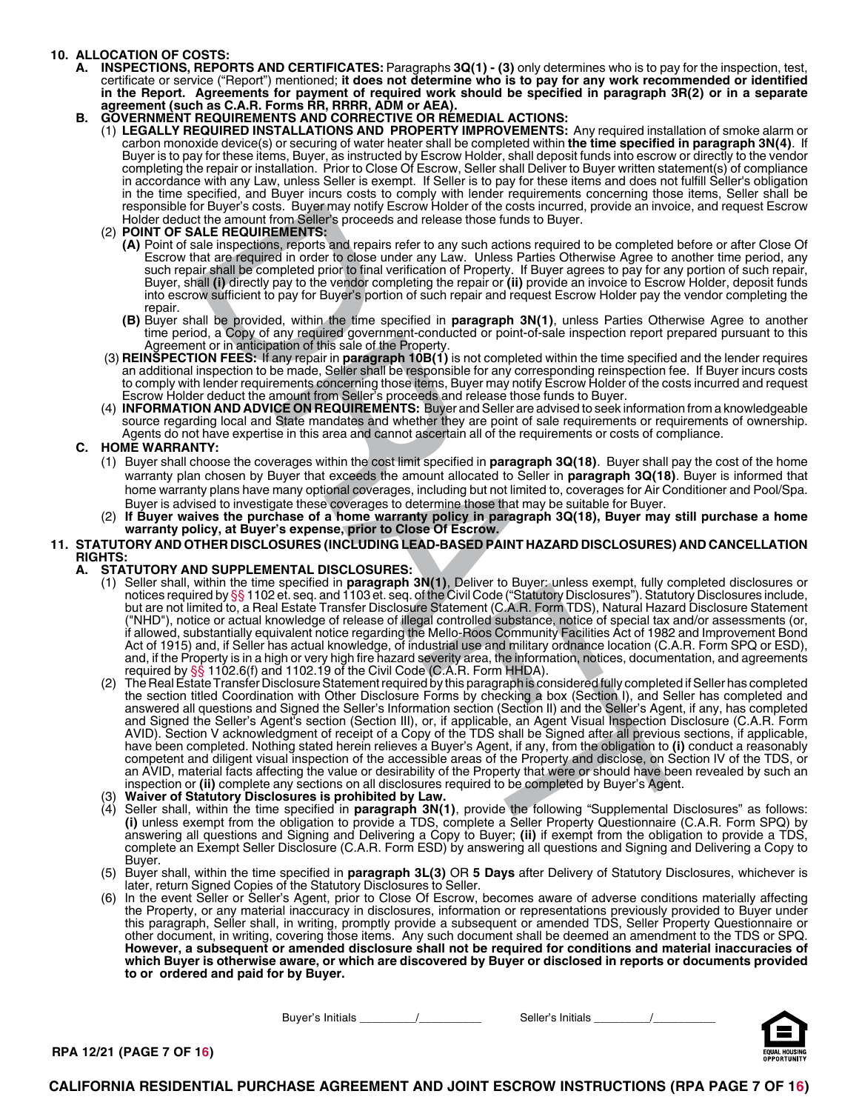### **10. ALLOCATION OF COSTS:**

- **A. INSPECTIONS, REPORTS AND CERTIFICATES:** Paragraphs **3Q(1) (3)** only determines who is to pay for the inspection, test, certificate or service ("Report") mentioned; **it does not determine who is to pay for any work recommended or identified in the Report. Agreements for payment of required work should be specified in paragraph 3R(2) or in a separate agreement (such as C.A.R. Forms RR, RRRR, ADM or AEA).**
- **B. GOVERNMENT REQUIREMENTS AND CORRECTIVE OR REMEDIAL ACTIONS:**
	- (1) **LEGALLY REQUIRED INSTALLATIONS AND PROPERTY IMPROVEMENTS:** Any required installation of smoke alarm or carbon monoxide device(s) or securing of water heater shall be completed within **the time specified in paragraph 3N(4)**. If Buyer is to pay for these items, Buyer, as instructed by Escrow Holder, shall deposit funds into escrow or directly to the vendor completing the repair or installation. Prior to Close Of Escrow, Seller shall Deliver to Buyer written statement(s) of compliance in accordance with any Law, unless Seller is exempt. If Seller is to pay for these items and does not fulfill Seller's obligation in the time specified, and Buyer incurs costs to comply with lender requirements concerning those items, Seller shall be responsible for Buyer's costs. Buyer may notify Escrow Holder of the costs incurred, provide an invoice, and request Escrow Holder deduct the amount from Seller's proceeds and release those funds to Buyer.

### (2) **POINT OF SALE REQUIREMENTS:**

- **(A)** Point of sale inspections, reports and repairs refer to any such actions required to be completed before or after Close Of Escrow that are required in order to close under any Law. Unless Parties Otherwise Agree to another time period, any such repair shall be completed prior to final verification of Property. If Buyer agrees to pay for any portion of such repair, Buyer, shall **(i)** directly pay to the vendor completing the repair or **(ii)** provide an invoice to Escrow Holder, deposit funds into escrow sufficient to pay for Buyer's portion of such repair and request Escrow Holder pay the vendor completing the repair.
- **(B)** Buyer shall be provided, within the time specified in **paragraph 3N(1)**, unless Parties Otherwise Agree to another time period, a Copy of any required government-conducted or point-of-sale inspection report prepared pursuant to this Agreement or in anticipation of this sale of the Property.
- (3) **REINSPECTION FEES:** If any repair in **paragraph 10B(1)** is not completed within the time specified and the lender requires an additional inspection to be made, Seller shall be responsible for any corresponding reinspection fee. If Buyer incurs costs to comply with lender requirements concerning those items, Buyer may notify Escrow Holder of the costs incurred and request Escrow Holder deduct the amount from Seller's proceeds and release those funds to Buyer.
- (4) **INFORMATION AND ADVICE ON REQUIREMENTS:** Buyer and Seller are advised to seek information from a knowledgeable source regarding local and State mandates and whether they are point of sale requirements or requirements of ownership. Agents do not have expertise in this area and cannot ascertain all of the requirements or costs of compliance.

### **C. HOME WARRANTY:**

- (1) Buyer shall choose the coverages within the cost limit specified in **paragraph 3Q(18)**. Buyer shall pay the cost of the home warranty plan chosen by Buyer that exceeds the amount allocated to Seller in **paragraph 3Q(18)**. Buyer is informed that home warranty plans have many optional coverages, including but not limited to, coverages for Air Conditioner and Pool/Spa. Buyer is advised to investigate these coverages to determine those that may be suitable for Buyer.
- (2) **If Buyer waives the purchase of a home warranty policy in paragraph 3Q(18), Buyer may still purchase a home warranty policy, at Buyer's expense, prior to Close Of Escrow.**

## **11. STATUTORY AND OTHER DISCLOSURES (INCLUDING LEAD-BASED PAINT HAZARD DISCLOSURES) AND CANCELLATION RIGHTS:**

### **A. STATUTORY AND SUPPLEMENTAL DISCLOSURES:**

- (1) Seller shall, within the time specified in **paragraph 3N(1)**, Deliver to Buyer: unless exempt, fully completed disclosures or notices required by §§ 1102 et. seq. and 1103 et. seq. of the Civil Code ("Statutory Disclosures"). Statutory Disclosures include, but are not limited to, a Real Estate Transfer Disclosure Statement (C.A.R. Form TDS), Natural Hazard Disclosure Statement ("NHD"), notice or actual knowledge of release of illegal controlled substance, notice of special tax and/or assessments (or, if allowed, substantially equivalent notice regarding the Mello-Roos Community Facilities Act of 1982 and Improvement Bond Act of 1915) and, if Seller has actual knowledge, of industrial use and military ordnance location (C.A.R. Form SPQ or ESD), and, if the Property is in a high or very high fire hazard severity area, the information, notices, documentation, and agreements required by §§ 1102.6(f) and 1102.19 of the Civil Code (C.A.R. Form HHDA).
- in Buyer Roots. Buyer may notify Eerow Holder of the coats income and the measure and a single and a single and response that the amount from Silliers and response that a response in the single and response that a response (2) The Real Estate Transfer Disclosure Statement required by this paragraph is considered fully completed if Seller has completed the section titled Coordination with Other Disclosure Forms by checking a box (Section I), and Seller has completed and answered all questions and Signed the Seller's Information section (Section II) and the Seller's Agent, if any, has completed and Signed the Seller's Agent's section (Section III), or, if applicable, an Agent Visual Inspection Disclosure (C.A.R. Form AVID). Section V acknowledgment of receipt of a Copy of the TDS shall be Signed after all previous sections, if applicable, have been completed. Nothing stated herein relieves a Buyer's Agent, if any, from the obligation to **(i)** conduct a reasonably competent and diligent visual inspection of the accessible areas of the Property and disclose, on Section IV of the TDS, or an AVID, material facts affecting the value or desirability of the Property that were or should have been revealed by such an inspection or **(ii)** complete any sections on all disclosures required to be completed by Buyer's Agent.
- (3) **Waiver of Statutory Disclosures is prohibited by Law.**
- (4) Seller shall, within the time specified in **paragraph 3N(1)**, provide the following "Supplemental Disclosures" as follows: **(i)** unless exempt from the obligation to provide a TDS, complete a Seller Property Questionnaire (C.A.R. Form SPQ) by answering all questions and Signing and Delivering a Copy to Buyer; **(ii)** if exempt from the obligation to provide a TDS, complete an Exempt Seller Disclosure (C.A.R. Form ESD) by answering all questions and Signing and Delivering a Copy to Buyer.
- (5) Buyer shall, within the time specified in **paragraph 3L(3)** OR **5 Days** after Delivery of Statutory Disclosures, whichever is later, return Signed Copies of the Statutory Disclosures to Seller.
- (6) In the event Seller or Seller's Agent, prior to Close Of Escrow, becomes aware of adverse conditions materially affecting the Property, or any material inaccuracy in disclosures, information or representations previously provided to Buyer under this paragraph, Seller shall, in writing, promptly provide a subsequent or amended TDS, Seller Property Questionnaire or other document, in writing, covering those items. Any such document shall be deemed an amendment to the TDS or SPQ. **However, a subsequent or amended disclosure shall not be required for conditions and material inaccuracies of which Buyer is otherwise aware, or which are discovered by Buyer or disclosed in reports or documents provided to or ordered and paid for by Buyer.**

Buyer's Initials \_\_\_\_\_\_\_\_\_/\_\_\_\_\_\_\_\_\_\_ Seller's Initials \_\_\_\_\_\_\_\_\_/\_\_\_\_\_\_\_\_\_\_



**RPA 12/21 (PAGE 7 OF 16)** 

**CALIFORNIA RESIDENTIAL PURCHASE AGREEMENT AND JOINT ESCROW INSTRUCTIONS (RPA PAGE 7 OF 16)**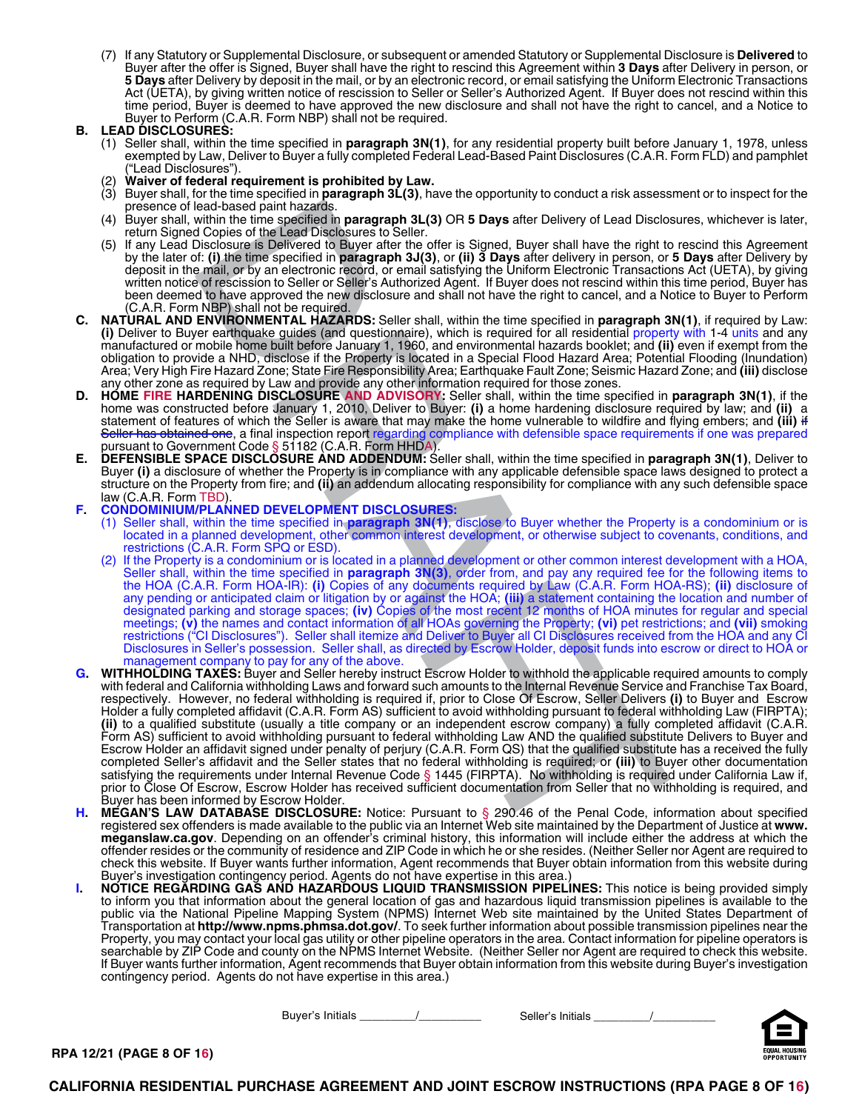(7) If any Statutory or Supplemental Disclosure, or subsequent or amended Statutory or Supplemental Disclosure is **Delivered** to Buyer after the offer is Signed, Buyer shall have the right to rescind this Agreement within **3 Days** after Delivery in person, or **5 Days** after Delivery by deposit in the mail, or by an electronic record, or email satisfying the Uniform Electronic Transactions Act (UETA), by giving written notice of rescission to Seller or Seller's Authorized Agent. If Buyer does not rescind within this time period, Buyer is deemed to have approved the new disclosure and shall not have the right to cancel, and a Notice to Buyer to Perform (C.A.R. Form NBP) shall not be required.

### **B. LEAD DISCLOSURES:**

- (1) Seller shall, within the time specified in **paragraph 3N(1)**, for any residential property built before January 1, 1978, unless exempted by Law, Deliver to Buyer a fully completed Federal Lead-Based Paint Disclosures (C.A.R. Form FLD) and pamphlet ("Lead Disclosures").
- (2) **Waiver of federal requirement is prohibited by Law.**
- (3) Buyer shall, for the time specified in **paragraph 3L(3)**, have the opportunity to conduct a risk assessment or to inspect for the presence of lead-based paint hazards.
- (4) Buyer shall, within the time specified in **paragraph 3L(3)** OR **5 Days** after Delivery of Lead Disclosures, whichever is later, return Signed Copies of the Lead Disclosures to Seller.
- (5) If any Lead Disclosure is Delivered to Buyer after the offer is Signed, Buyer shall have the right to rescind this Agreement by the later of: **(i)** the time specified in **paragraph 3J(3)**, or **(ii) 3 Days** after delivery in person, or **5 Days** after Delivery by deposit in the mail, or by an electronic record, or email satisfying the Uniform Electronic Transactions Act (UETA), by giving written notice of rescission to Seller or Seller's Authorized Agent. If Buyer does not rescind within this time period, Buyer has been deemed to have approved the new disclosure and shall not have the right to cancel, and a Notice to Buyer to Perform (C.A.R. Form NBP) shall not be required.
- **C. NATURAL AND ENVIRONMENTAL HAZARDS:** Seller shall, within the time specified in **paragraph 3N(1)**, if required by Law: **(i)** Deliver to Buyer earthquake guides (and questionnaire), which is required for all residential property with 1-4 units and any manufactured or mobile home built before January 1, 1960, and environmental hazards booklet; and **(ii)** even if exempt from the obligation to provide a NHD, disclose if the Property is located in a Special Flood Hazard Area; Potential Flooding (Inundation) Area; Very High Fire Hazard Zone; State Fire Responsibility Area; Earthquake Fault Zone; Seismic Hazard Zone; and **(iii)** disclose any other zone as required by Law and provide any other information required for those zones.
- **D. HOME FIRE HARDENING DISCLOSURE AND ADVISORY:** Seller shall, within the time specified in **paragraph 3N(1)**, if the home was constructed before January 1, 2010, Deliver to Buyer: **(i)** a home hardening disclosure required by law; and **(ii)** a statement of features of which the Seller is aware that may make the home vulnerable to wildfire and flying embers; and **(iii)** if <del>Seller has obtained one</del>, a final inspection report regarding compliance with defensible space requirements if one was prepared pursuant to Government Code § 51182 (C.A.R. Form HHDA).
- **E. DEFENSIBLE SPACE DISCLOSURE AND ADDENDUM:** Seller shall, within the time specified in **paragraph 3N(1)**, Deliver to Buyer **(i)** a disclosure of whether the Property is in compliance with any applicable defensible space laws designed to protect a structure on the Property from fire; and **(ii)** an addendum allocating responsibility for compliance with any such defensible space law (C.A.R. Form TBD).
- **F. CONDOMINIUM/PLANNED DEVELOPMENT DISCLOSURES:** 
	- (1) Seller shall, within the time specified in **paragraph 3N(1)**, disclose to Buyer whether the Property is a condominium or is located in a planned development, other common interest development, or otherwise subject to covenants, conditions, and restrictions (C.A.R. Form SPQ or ESD).
	- (2) If the Property is a condominium or is located in a planned development or other common interest development with a HOA, Seller shall, within the time specified in **paragraph 3N(3)**, order from, and pay any required fee for the following items to the HOA (C.A.R. Form HOA-IR): **(i)** Copies of any documents required by Law (C.A.R. Form HOA-RS); **(ii)** disclosure of any pending or anticipated claim or litigation by or against the HOA; **(iii)** a statement containing the location and number of designated parking and storage spaces; **(iv)** Copies of the most recent 12 months of HOA minutes for regular and special meetings; **(v)** the names and contact information of all HOAs governing the Property; **(vi)** pet restrictions; and **(vii)** smoking restrictions ("CI Disclosures"). Seller shall itemize and Deliver to Buyer all CI Disclosures received from the HOA and any CI Disclosures in Seller's possession. Seller shall, as directed by Escrow Holder, deposit funds into escrow or direct to HOA or management company to pay for any of the above.
- ead-based paint hazards. The term of the control of the control of the control of the control of the control of the control of the control of the control of the control of the control of the control of the control of the c **G. WITHHOLDING TAXES:** Buyer and Seller hereby instruct Escrow Holder to withhold the applicable required amounts to comply with federal and California withholding Laws and forward such amounts to the Internal Revenue Service and Franchise Tax Board, respectively. However, no federal withholding is required if, prior to Close Of Escrow, Seller Delivers **(i)** to Buyer and Escrow Holder a fully completed affidavit (C.A.R. Form AS) sufficient to avoid withholding pursuant to federal withholding Law (FIRPTA); **(ii)** to a qualified substitute (usually a title company or an independent escrow company) a fully completed affidavit (C.A.R. Form AS) sufficient to avoid withholding pursuant to federal withholding Law AND the qualified substitute Delivers to Buyer and Escrow Holder an affidavit signed under penalty of perjury (C.A.R. Form QS) that the qualified substitute has a received the fully completed Seller's affidavit and the Seller states that no federal withholding is required; or **(iii)** to Buyer other documentation satisfying the requirements under Internal Revenue Code § 1445 (FIRPTA). No withholding is required under California Law if, prior to Close Of Escrow, Escrow Holder has received sufficient documentation from Seller that no withholding is required, and Buyer has been informed by Escrow Holder.
- **H. MEGAN'S LAW DATABASE DISCLOSURE:** Notice: Pursuant to § 290.46 of the Penal Code, information about specified registered sex offenders is made available to the public via an Internet Web site maintained by the Department of Justice at **www. meganslaw.ca.gov**. Depending on an offender's criminal history, this information will include either the address at which the offender resides or the community of residence and ZIP Code in which he or she resides. (Neither Seller nor Agent are required to check this website. If Buyer wants further information, Agent recommends that Buyer obtain information from this website during Buyer's investigation contingency period. Agents do not have expertise in this area.)
- **I. NOTICE REGARDING GAS AND HAZARDOUS LIQUID TRANSMISSION PIPELINES:** This notice is being provided simply to inform you that information about the general location of gas and hazardous liquid transmission pipelines is available to the public via the National Pipeline Mapping System (NPMS) Internet Web site maintained by the United States Department of Transportation at **http://www.npms.phmsa.dot.gov/**. To seek further information about possible transmission pipelines near the Property, you may contact your local gas utility or other pipeline operators in the area. Contact information for pipeline operators is searchable by ZIP Code and county on the NPMS Internet Website. (Neither Seller nor Agent are required to check this website. If Buyer wants further information, Agent recommends that Buyer obtain information from this website during Buyer's investigation contingency period. Agents do not have expertise in this area.)

Buyer's Initials \_\_\_\_\_\_\_\_\_/\_\_\_\_\_\_\_\_\_\_ Seller's Initials \_\_\_\_\_\_\_\_\_/\_\_\_\_\_\_\_\_\_\_



**RPA 12/21 (PAGE 8 OF 16)** 

**CALIFORNIA RESIDENTIAL PURCHASE AGREEMENT AND JOINT ESCROW INSTRUCTIONS (RPA PAGE 8 OF 16)**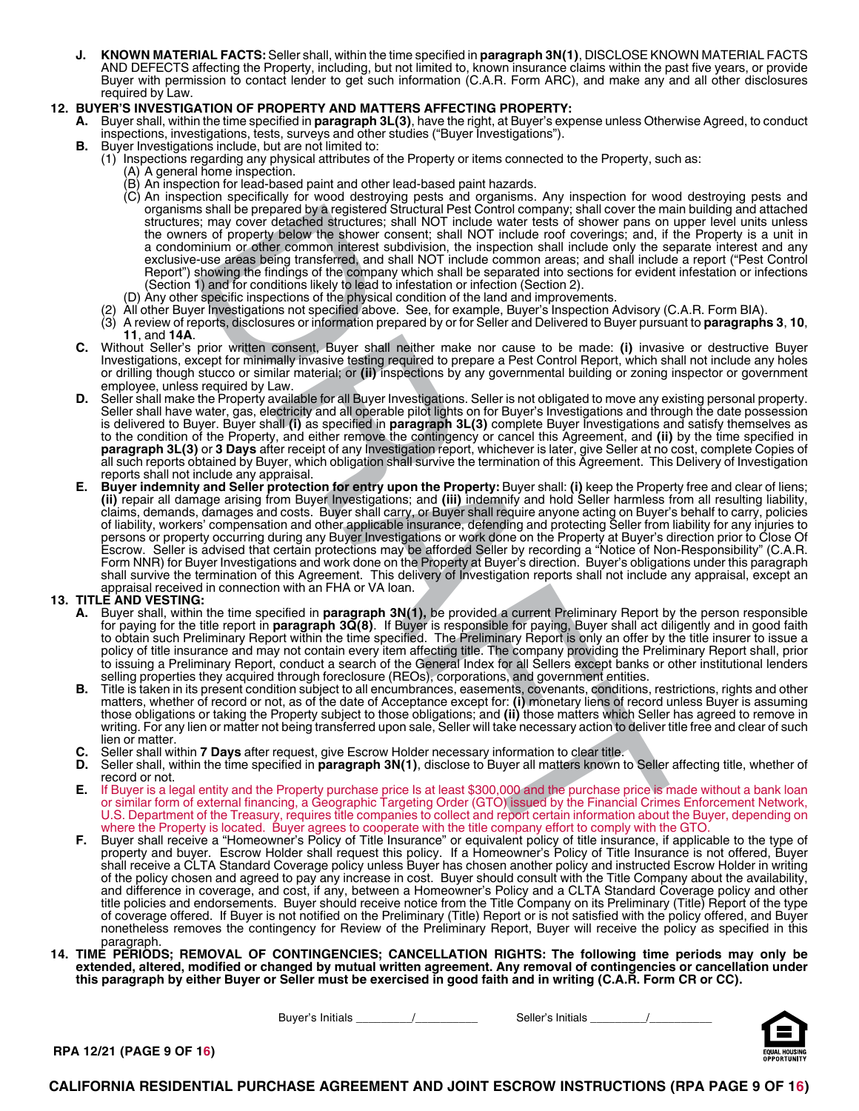**J. KNOWN MATERIAL FACTS:** Seller shall, within the time specified in **paragraph 3N(1)**, DISCLOSE KNOWN MATERIAL FACTS AND DEFECTS affecting the Property, including, but not limited to, known insurance claims within the past five years, or provide Buyer with permission to contact lender to get such information (C.A.R. Form ARC), and make any and all other disclosures required by Law.

### **12. BUYER'S INVESTIGATION OF PROPERTY AND MATTERS AFFECTING PROPERTY:**

- **A.** Buyer shall, within the time specified in **paragraph 3L(3)**, have the right, at Buyer's expense unless Otherwise Agreed, to conduct inspections, investigations, tests, surveys and other studies ("Buyer Investigations").
- **B.** Buyer Investigations include, but are not limited to:
	- (1) Inspections regarding any physical attributes of the Property or items connected to the Property, such as: (A) A general home inspection.
		- (B) An inspection for lead-based paint and other lead-based paint hazards.
		- (C) An inspection specifically for wood destroying pests and organisms. Any inspection for wood destroying pests and organisms shall be prepared by a registered Structural Pest Control company; shall cover the main building and attached structures; may cover detached structures; shall NOT include water tests of shower pans on upper level units unless the owners of property below the shower consent; shall NOT include roof coverings; and, if the Property is a unit in a condominium or other common interest subdivision, the inspection shall include only the separate interest and any exclusive-use areas being transferred, and shall NOT include common areas; and shall include a report ("Pest Control Report") showing the findings of the company which shall be separated into sections for evident infestation or infections (Section 1) and for conditions likely to lead to infestation or infection (Section 2).
		- (D) Any other specific inspections of the physical condition of the land and improvements.
	- (2) All other Buyer Investigations not specified above. See, for example, Buyer's Inspection Advisory (C.A.R. Form BIA).
	- (3) A review of reports, disclosures or information prepared by or for Seller and Delivered to Buyer pursuant to **paragraphs 3**, **10**, **11**, and **14A**.
- **C.** Without Seller's prior written consent, Buyer shall neither make nor cause to be made: **(i)** invasive or destructive Buyer Investigations, except for minimally invasive testing required to prepare a Pest Control Report, which shall not include any holes or drilling though stucco or similar material; or **(ii)** inspections by any governmental building or zoning inspector or government employee, unless required by Law.
- **D.** Seller shall make the Property available for all Buyer Investigations. Seller is not obligated to move any existing personal property. Seller shall have water, gas, electricity and all operable pilot lights on for Buyer's Investigations and through the date possession is delivered to Buyer. Buyer shall **(i)** as specified in **paragraph 3L(3)** complete Buyer Investigations and satisfy themselves as to the condition of the Property, and either remove the contingency or cancel this Agreement, and **(ii)** by the time specified in **paragraph 3L(3)** or **3 Days** after receipt of any Investigation report, whichever is later, give Seller at no cost, complete Copies of all such reports obtained by Buyer, which obligation shall survive the termination of this Agreement. This Delivery of Investigation reports shall not include any appraisal.
- s shall be prepared by a registered Structural Pest Cointo/company: shall cover the means on the present of the show the show that over the structural NOT include water tests of shown pans on the shown that the shown and **E. Buyer indemnity and Seller protection for entry upon the Property:** Buyer shall: **(i)** keep the Property free and clear of liens; **(ii)** repair all damage arising from Buyer Investigations; and **(iii)** indemnify and hold Seller harmless from all resulting liability, claims, demands, damages and costs. Buyer shall carry, or Buyer shall require anyone acting on Buyer's behalf to carry, policies of liability, workers' compensation and other applicable insurance, defending and protecting Seller from liability for any injuries to persons or property occurring during any Buyer Investigations or work done on the Property at Buyer's direction prior to Close Of Escrow. Seller is advised that certain protections may be afforded Seller by recording a "Notice of Non-Responsibility" (C.A.R. Form NNR) for Buyer Investigations and work done on the Property at Buyer's direction. Buyer's obligations under this paragraph shall survive the termination of this Agreement. This delivery of Investigation reports shall not include any appraisal, except an appraisal received in connection with an FHA or VA loan.

# **13. TITLE AND VESTING:**

- **A.** Buyer shall, within the time specified in **paragraph 3N(1),** be provided a current Preliminary Report by the person responsible for paying for the title report in **paragraph 3Q(8)**. If Buyer is responsible for paying, Buyer shall act diligently and in good faith to obtain such Preliminary Report within the time specified. The Preliminary Report is only an offer by the title insurer to issue a policy of title insurance and may not contain every item affecting title. The company providing the Preliminary Report shall, prior to issuing a Preliminary Report, conduct a search of the General Index for all Sellers except banks or other institutional lenders selling properties they acquired through foreclosure (REOs), corporations, and government entities.
- **B.** Title is taken in its present condition subject to all encumbrances, easements, covenants, conditions, restrictions, rights and other matters, whether of record or not, as of the date of Acceptance except for: **(i)** monetary liens of record unless Buyer is assuming those obligations or taking the Property subject to those obligations; and **(ii)** those matters which Seller has agreed to remove in writing. For any lien or matter not being transferred upon sale, Seller will take necessary action to deliver title free and clear of such lien or matter.
- **C.** Seller shall within **7 Days** after request, give Escrow Holder necessary information to clear title.
- **D.** Seller shall, within the time specified in **paragraph 3N(1)**, disclose to Buyer all matters known to Seller affecting title, whether of record or not.
- **E.** If Buyer is a legal entity and the Property purchase price Is at least \$300,000 and the purchase price is made without a bank loan or similar form of external financing, a Geographic Targeting Order (GTO) issued by the Financial Crimes Enforcement Network, U.S. Department of the Treasury, requires title companies to collect and report certain information about the Buyer, depending on where the Property is located. Buyer agrees to cooperate with the title company effort to comply with the GTO.
- **F.** Buyer shall receive a "Homeowner's Policy of Title Insurance" or equivalent policy of title insurance, if applicable to the type of property and buyer. Escrow Holder shall request this policy. If a Homeowner's Policy of Title Insurance is not offered, Buyer shall receive a CLTA Standard Coverage policy unless Buyer has chosen another policy and instructed Escrow Holder in writing of the policy chosen and agreed to pay any increase in cost. Buyer should consult with the Title Company about the availability, and difference in coverage, and cost, if any, between a Homeowner's Policy and a CLTA Standard Coverage policy and other title policies and endorsements. Buyer should receive notice from the Title Company on its Preliminary (Title) Report of the type of coverage offered. If Buyer is not notified on the Preliminary (Title) Report or is not satisfied with the policy offered, and Buyer nonetheless removes the contingency for Review of the Preliminary Report, Buyer will receive the policy as specified in this paragraph.
- **14. TIME PERIODS; REMOVAL OF CONTINGENCIES; CANCELLATION RIGHTS: The following time periods may only be extended, altered, modified or changed by mutual written agreement. Any removal of contingencies or cancellation under this paragraph by either Buyer or Seller must be exercised in good faith and in writing (C.A.R. Form CR or CC).**

Buyer's Initials \_\_\_\_\_\_\_\_\_/\_\_\_\_\_\_\_\_\_\_\_\_\_\_\_\_\_\_\_\_\_\_Seller's Initials



**RPA 12/21 (PAGE 9 OF 16)** 

**CALIFORNIA RESIDENTIAL PURCHASE AGREEMENT AND JOINT ESCROW INSTRUCTIONS (RPA PAGE 9 OF 16)**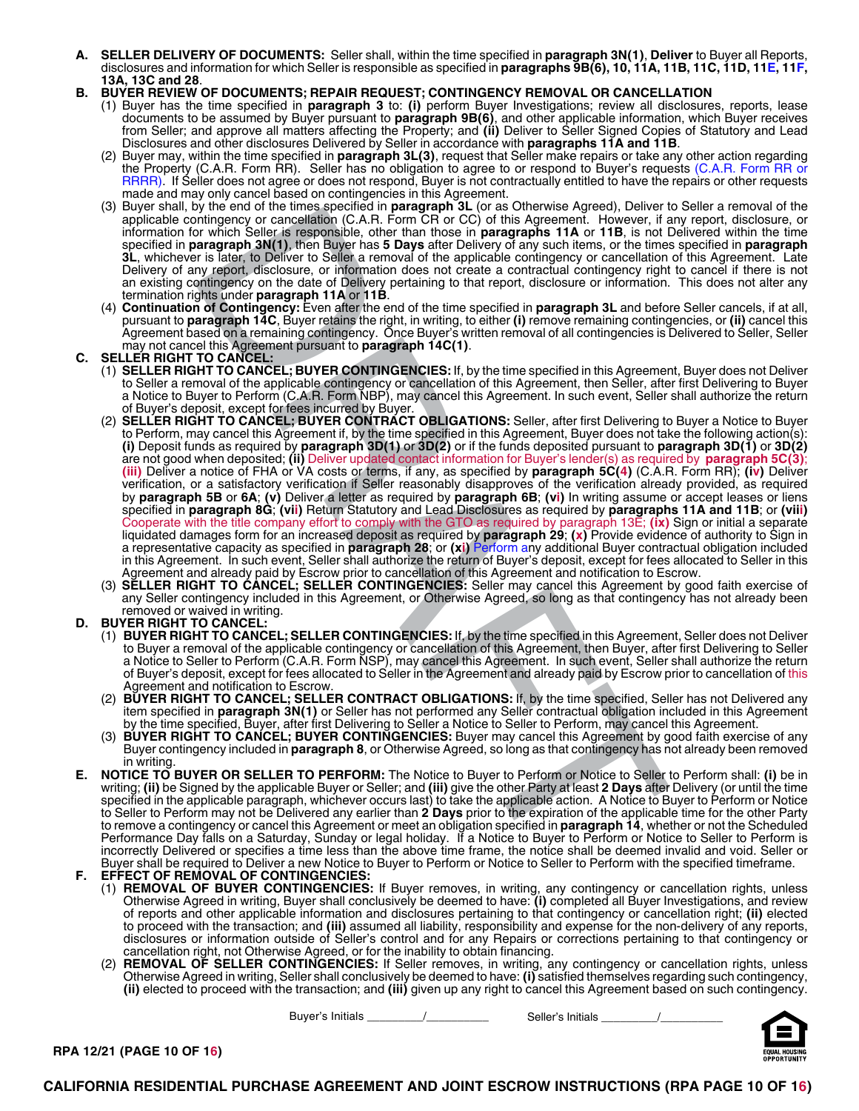**A. SELLER DELIVERY OF DOCUMENTS:** Seller shall, within the time specified in **paragraph 3N(1)**, **Deliver** to Buyer all Reports,

# 13A, 13C and 28.<br>B. BUYER REVIEW OF DOCUMENTS; REPAIR REQUEST; CONTINGENCY REMOVAL OR CANCELLATION

- (1) Buyer has the time specified in **paragraph 3** to: **(i)** perform Buyer Investigations; review all disclosures, reports, lease documents to be assumed by Buyer pursuant to **paragraph 9B(6)**, and other applicable information, which Buyer receives from Seller; and approve all matters affecting the Property; and **(ii)** Deliver to Seller Signed Copies of Statutory and Lead
- Disclosures and other disclosures Delivered by Seller in accordance with **paragraphs 11A and 11B**.<br>(2) Buyer may, within the time specified in **paragraph 3L(3)**, request that Seller make repairs or take any other action re the Property (C.A.R. Form RR). Seller has no obligation to agree to or respond to Buyer's requests (C.A.R. Form RR or RRRR). If Seller does not agree or does not respond, Buyer is not contractually entitled to have the repairs or other requests made and may only cancel based on contingencies in this Agreement.
- (3) Buyer shall, by the end of the times specified in **paragraph 3L** (or as Otherwise Agreed), Deliver to Seller a removal of the applicable contingency or cancellation (C.A.R. Form CR or CC) of this Agreement. However, if any report, disclosure, or information for which Seller is responsible, other than those in **paragraphs 11A** or **11B**, is not Delivered within the time specified in **paragraph 3N(1)**, then Buyer has **5 Days** after Delivery of any such items, or the times specified in **paragraph 3L**, whichever is later, to Deliver to Seller a removal of the applicable contingency or cancellation of this Agreement. Late Delivery of any report, disclosure, or information does not create a contractual contingency right to cancel if there is not an existing contingency on the date of Delivery pertaining to that report, disclosure or information. This does not alter any
- termination rights under **paragraph 11A** or **11B**. (4) **Continuation of Contingency:** Even after the end of the time specified in **paragraph 3L** and before Seller cancels, if at all, pursuant to **paragraph 14C**, Buyer retains the right, in writing, to either **(i)** remove remaining contingencies, or **(ii)** cancel this Agreement based on a remaining contingency. Once Buyer's written removal of all contingencies is Delivered to Seller, Seller may not cancel this Agreement pursuant to **paragraph 14C(1)**.

### **C. SELLER RIGHT TO CANCEL:**

- (1) **SELLER RIGHT TO CANCEL; BUYER CONTINGENCIES:** If, by the time specified in this Agreement, Buyer does not Deliver to Seller a removal of the applicable contingency or cancellation of this Agreement, then Seller, after first Delivering to Buyer a Notice to Buyer to Perform (C.A.R. Form NBP), may cancel this Agreement. In such event, Seller shall authorize the return of Buyer's deposit, except for fees incurred by Buyer.
- where you can continue to the appearance of the appearance of the state of the state of the state of the state of the state of the state of the state of the state of the state of the state of the state of the state of the (2) **SELLER RIGHT TO CANCEL; BUYER CONTRACT OBLIGATIONS:** Seller, after first Delivering to Buyer a Notice to Buyer to Perform, may cancel this Agreement if, by the time specified in this Agreement, Buyer does not take the following action(s): **(i)** Deposit funds as required by **paragraph 3D(1)** or **3D(2)** or if the funds deposited pursuant to **paragraph 3D(1)** or **3D(2)** are not good when deposited; **(ii)** Deliver updated contact information for Buyer's lender(s) as required by **paragraph 5C(3)**; **(iii)** Deliver a notice of FHA or VA costs or terms, if any, as specified by **paragraph 5C(4)** (C.A.R. Form RR); **(iv)** Deliver verification, or a satisfactory verification if Seller reasonably disapproves of the verification already provided, as required by **paragraph 5B** or **6A**; **(v)** Deliver a letter as required by **paragraph 6B**; **(vi)** In writing assume or accept leases or liens specified in **paragraph 8G**; **(vii)** Return Statutory and Lead Disclosures as required by **paragraphs 11A and 11B**; or **(viii)** Cooperate with the title company effort to comply with the GTO as required by paragraph 13E; **(ix)** Sign or initial a separate liquidated damages form for an increased deposit as required by **paragraph 29**; **(x)** Provide evidence of authority to Sign in a representative capacity as specified in **paragraph 28**; or **(xi)** Perform any additional Buyer contractual obligation included in this Agreement. In such event, Seller shall authorize the return of Buyer's deposit, except for fees allocated to Seller in this Agreement and already paid by Escrow prior to cancellation of this Agreement and notification to Escrow.
- (3) **SELLER RIGHT TO CANCEL; SELLER CONTINGENCIES:** Seller may cancel this Agreement by good faith exercise of any Seller contingency included in this Agreement, or Otherwise Agreed, so long as that contingency has not already been removed or waived in writing.
- **D. BUYER RIGHT TO CANCEL:**
	- (1) **BUYER RIGHT TO CANCEL; SELLER CONTINGENCIES:** If, by the time specified in this Agreement, Seller does not Deliver to Buyer a removal of the applicable contingency or cancellation of this Agreement, then Buyer, after first Delivering to Seller a Notice to Seller to Perform (C.A.R. Form NSP), may cancel this Agreement. In such event, Seller shall authorize the return of Buyer's deposit, except for fees allocated to Seller in the Agreement and already paid by Escrow prior to cancellation of this Agreement and notification to Escrow.
	- (2) **BUYER RIGHT TO CANCEL; SELLER CONTRACT OBLIGATIONS:** If, by the time specified, Seller has not Delivered any item specified in **paragraph 3N(1)** or Seller has not performed any Seller contractual obligation included in this Agreement by the time specified, Buyer, after first Delivering to Seller a Notice to Seller to Perform, may cancel this Agreement.
	- (3) **BUYER RIGHT TO CANCEL; BUYER CONTINGENCIES:** Buyer may cancel this Agreement by good faith exercise of any Buyer contingency included in **paragraph 8**, or Otherwise Agreed, so long as that contingency has not already been removed in writing.
- **E. NOTICE TO BUYER OR SELLER TO PERFORM:** The Notice to Buyer to Perform or Notice to Seller to Perform shall: **(i)** be in writing; **(ii)** be Signed by the applicable Buyer or Seller; and **(iii)** give the other Party at least **2 Days** after Delivery (or until the time specified in the applicable paragraph, whichever occurs last) to take the applicable action. A Notice to Buyer to Perform or Notice to Seller to Perform may not be Delivered any earlier than **2 Days** prior to the expiration of the applicable time for the other Party to remove a contingency or cancel this Agreement or meet an obligation specified in **paragraph 14**, whether or not the Scheduled Performance Day falls on a Saturday, Sunday or legal holiday. If a Notice to Buyer to Perform or Notice to Seller to Perform is incorrectly Delivered or specifies a time less than the above time frame, the notice shall be deemed invalid and void. Seller or Buyer shall be required to Deliver a new Notice to Buyer to Perform or Notice to Seller to Perform with the specified timeframe.

### **F. EFFECT OF REMOVAL OF CONTINGENCIES:**

- (1) **REMOVAL OF BUYER CONTINGENCIES:** If Buyer removes, in writing, any contingency or cancellation rights, unless Otherwise Agreed in writing, Buyer shall conclusively be deemed to have: **(i)** completed all Buyer Investigations, and review of reports and other applicable information and disclosures pertaining to that contingency or cancellation right; **(ii)** elected to proceed with the transaction; and **(iii)** assumed all liability, responsibility and expense for the non-delivery of any reports, disclosures or information outside of Seller's control and for any Repairs or corrections pertaining to that contingency or cancellation right, not Otherwise Agreed, or for the inability to obtain financing.
- (2) **REMOVAL OF SELLER CONTINGENCIES:** If Seller removes, in writing, any contingency or cancellation rights, unless Otherwise Agreed in writing, Seller shall conclusively be deemed to have: **(i)** satisfied themselves regarding such contingency, **(ii)** elected to proceed with the transaction; and **(iii)** given up any right to cancel this Agreement based on such contingency.

Buyer's Initials \_\_\_\_\_\_\_\_\_/\_\_\_\_\_\_\_\_\_\_ Seller's Initials \_\_\_\_\_\_\_\_\_/\_\_\_\_\_\_\_\_\_\_



**RPA 12/21 (PAGE 10 OF 16)** 

### **CALIFORNIA RESIDENTIAL PURCHASE AGREEMENT AND JOINT ESCROW INSTRUCTIONS (RPA PAGE 10 OF 16)**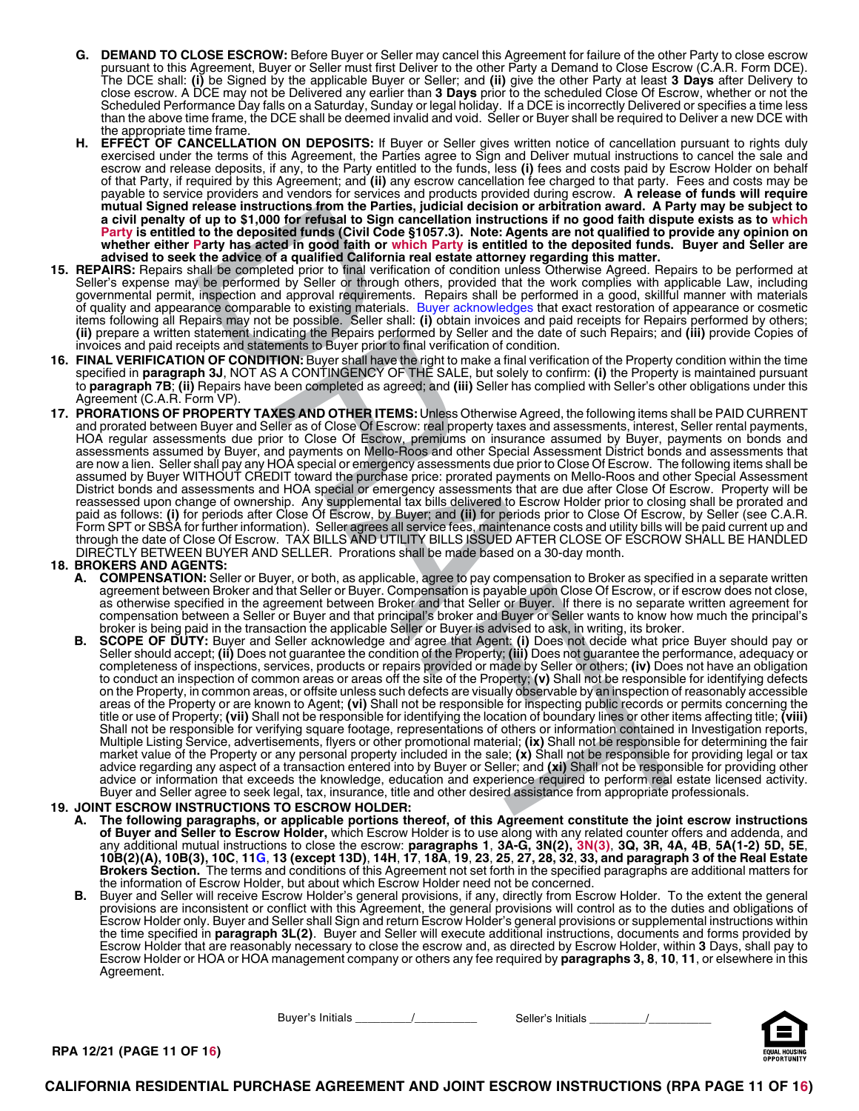- **G. DEMAND TO CLOSE ESCROW:** Before Buyer or Seller may cancel this Agreement for failure of the other Party to close escrow pursuant to this Agreement, Buyer or Seller must first Deliver to the other Party a Demand to Close Escrow (C.A.R. Form DCE). The DCE shall: **(i)** be Signed by the applicable Buyer or Seller; and **(ii)** give the other Party at least **3 Days** after Delivery to close escrow. A DCE may not be Delivered any earlier than **3 Days** prior to the scheduled Close Of Escrow, whether or not the Scheduled Performance Day falls on a Saturday, Sunday or legal holiday. If a DCE is incorrectly Delivered or specifies a time less than the above time frame, the DCE shall be deemed invalid and void. Seller or Buyer shall be required to Deliver a new DCE with the appropriate time frame.
- **H. EFFECT OF CANCELLATION ON DEPOSITS:** If Buyer or Seller gives written notice of cancellation pursuant to rights duly exercised under the terms of this Agreement, the Parties agree to Sign and Deliver mutual instructions to cancel the sale and escrow and release deposits, if any, to the Party entitled to the funds, less **(i)** fees and costs paid by Escrow Holder on behalf of that Party, if required by this Agreement; and **(ii)** any escrow cancellation fee charged to that party. Fees and costs may be payable to service providers and vendors for services and products provided during escrow. **A release of funds will require mutual Signed release instructions from the Parties, judicial decision or arbitration award. A Party may be subject to a civil penalty of up to \$1,000 for refusal to Sign cancellation instructions if no good faith dispute exists as to which Party is entitled to the deposited funds (Civil Code §1057.3). Note: Agents are not qualified to provide any opinion on whether either Party has acted in good faith or which Party is entitled to the deposited funds. Buyer and Seller are advised to seek the advice of a qualified California real estate attorney regarding this matter.**
- **15. REPAIRS:** Repairs shall be completed prior to final verification of condition unless Otherwise Agreed. Repairs to be performed at Seller's expense may be performed by Seller or through others, provided that the work complies with applicable Law, including governmental permit, inspection and approval requirements. Repairs shall be performed in a good, skillful manner with materials of quality and appearance comparable to existing materials. Buyer acknowledges that exact restoration of appearance or cosmetic items following all Repairs may not be possible. Seller shall: **(i)** obtain invoices and paid receipts for Repairs performed by others; **(ii)** prepare a written statement indicating the Repairs performed by Seller and the date of such Repairs; and **(iii)** provide Copies of invoices and paid receipts and statements to Buyer prior to final verification of condition.
- **16. FINAL VERIFICATION OF CONDITION:** Buyer shall have the right to make a final verification of the Property condition within the time specified in **paragraph 3J**, NOT AS A CONTINGENCY OF THE SALE, but solely to confirm: **(i)** the Property is maintained pursuant to **paragraph 7B**; **(ii)** Repairs have been completed as agreed; and **(iii)** Seller has complied with Seller's other obligations under this Agreement (C.A.R. Form VP).
- **17. PRORATIONS OF PROPERTY TAXES AND OTHER ITEMS:** Unless Otherwise Agreed, the following items shall be PAID CURRENT and prorated between Buyer and Seller as of Close Of Escrow: real property taxes and assessments, interest, Seller rental payments, HOA regular assessments due prior to Close Of Escrow, premiums on insurance assumed by Buyer, payments on bonds and assessments assumed by Buyer, and payments on Mello-Roos and other Special Assessment District bonds and assessments that are now a lien. Seller shall pay any HOA special or emergency assessments due prior to Close Of Escrow. The following items shall be assumed by Buyer WITHOUT CREDIT toward the purchase price: prorated payments on Mello-Roos and other Special Assessment District bonds and assessments and HOA special or emergency assessments that are due after Close Of Escrow. Property will be reassessed upon change of ownership. Any supplemental tax bills delivered to Escrow Holder prior to closing shall be prorated and paid as follows: **(i)** for periods after Close Of Escrow, by Buyer; and **(ii)** for periods prior to Close Of Escrow, by Seller (see C.A.R. Form SPT or SBSA for further information). Seller agrees all service fees, maintenance costs and utility bills will be paid current up and through the date of Close Of Escrow. TAX BILLS AND UTILITY BILLS ISSUED AFTER CLOSE OF ESCROW SHALL BE HANDLED DIRECTLY BETWEEN BUYER AND SELLER. Prorations shall be made based on a 30-day month.

### **18. BROKERS AND AGENTS:**

- **A. COMPENSATION:** Seller or Buyer, or both, as applicable, agree to pay compensation to Broker as specified in a separate written agreement between Broker and that Seller or Buyer. Compensation is payable upon Close Of Escrow, or if escrow does not close, as otherwise specified in the agreement between Broker and that Seller or Buyer. If there is no separate written agreement for compensation between a Seller or Buyer and that principal's broker and Buyer or Seller wants to know how much the principal's broker is being paid in the transaction the applicable Seller or Buyer is advised to ask, in writing, its broker.
- elease instructions from the Parties, judicial decision or arbitration away. A film of the transfer and the constraint of the bigger of the second from the constraint of the bigger of the second from the constraints of the **B. SCOPE OF DUTY:** Buyer and Seller acknowledge and agree that Agent: **(i)** Does not decide what price Buyer should pay or Seller should accept; **(ii)** Does not guarantee the condition of the Property; **(iii)** Does not guarantee the performance, adequacy or completeness of inspections, services, products or repairs provided or made by Seller or others; **(iv)** Does not have an obligation to conduct an inspection of common areas or areas off the site of the Property; **(v)** Shall not be responsible for identifying defects on the Property, in common areas, or offsite unless such defects are visually observable by an inspection of reasonably accessible areas of the Property or are known to Agent; **(vi)** Shall not be responsible for inspecting public records or permits concerning the title or use of Property; **(vii)** Shall not be responsible for identifying the location of boundary lines or other items affecting title; **(viii)** Shall not be responsible for verifying square footage, representations of others or information contained in Investigation reports, Multiple Listing Service, advertisements, flyers or other promotional material; **(ix)** Shall not be responsible for determining the fair market value of the Property or any personal property included in the sale; **(x)** Shall not be responsible for providing legal or tax advice regarding any aspect of a transaction entered into by Buyer or Seller; and **(xi)** Shall not be responsible for providing other advice or information that exceeds the knowledge, education and experience required to perform real estate licensed activity. Buyer and Seller agree to seek legal, tax, insurance, title and other desired assistance from appropriate professionals.
- **19. JOINT ESCROW INSTRUCTIONS TO ESCROW HOLDER:**
	- **A. The following paragraphs, or applicable portions thereof, of this Agreement constitute the joint escrow instructions of Buyer and Seller to Escrow Holder,** which Escrow Holder is to use along with any related counter offers and addenda, and any additional mutual instructions to close the escrow: **paragraphs 1**, **3A-G, 3N(2), 3N(3)**, **3Q, 3R, 4A, 4B**, **5A(1-2) 5D, 5E**, **10B(2)(A), 10B(3), 10C**, **11G**, **13 (except 13D)**, **14H**, **17**, **18A**, **19**, **23**, **25**, **27, 28, 32**, **33, and paragraph 3 of the Real Estate Brokers Section.** The terms and conditions of this Agreement not set forth in the specified paragraphs are additional matters for the information of Escrow Holder, but about which Escrow Holder need not be concerned.
	- **B.** Buyer and Seller will receive Escrow Holder's general provisions, if any, directly from Escrow Holder. To the extent the general provisions are inconsistent or conflict with this Agreement, the general provisions will control as to the duties and obligations of Escrow Holder only. Buyer and Seller shall Sign and return Escrow Holder's general provisions or supplemental instructions within the time specified in **paragraph 3L(2)**. Buyer and Seller will execute additional instructions, documents and forms provided by Escrow Holder that are reasonably necessary to close the escrow and, as directed by Escrow Holder, within **3** Days, shall pay to Escrow Holder or HOA or HOA management company or others any fee required by **paragraphs 3, 8**, **10**, **11**, or elsewhere in this Agreement.

Buyer's Initials \_\_\_\_\_\_\_\_\_/\_\_\_\_\_\_\_\_\_\_ Seller's Initials \_\_\_\_\_\_\_\_\_/\_\_\_\_\_\_\_\_\_\_



**RPA 12/21 (PAGE 11 OF 16)** 

**CALIFORNIA RESIDENTIAL PURCHASE AGREEMENT AND JOINT ESCROW INSTRUCTIONS (RPA PAGE 11 OF 16)**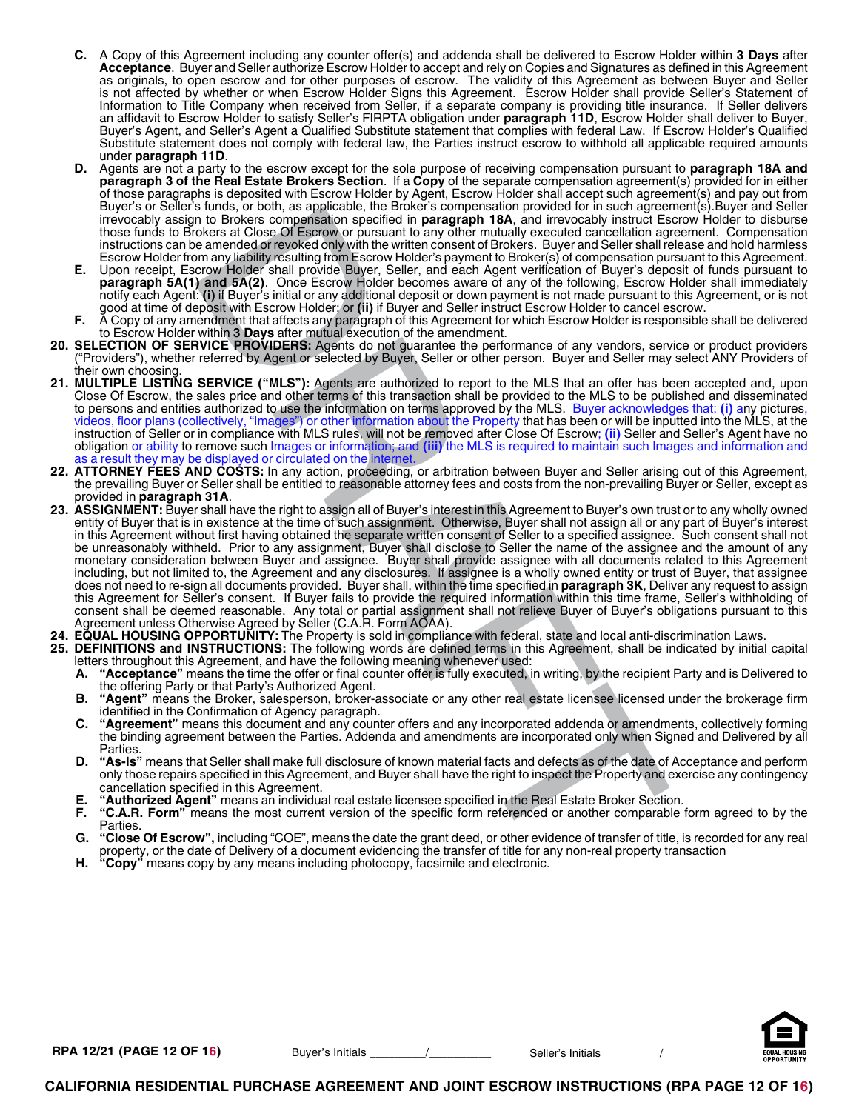- **C.** A Copy of this Agreement including any counter offer(s) and addenda shall be delivered to Escrow Holder within **3 Days** after **Acceptance**. Buyer and Seller authorize Escrow Holder to accept and rely on Copies and Signatures as defined in this Agreement as originals, to open escrow and for other purposes of escrow. The validity of this Agreement as between Buyer and Seller is not affected by whether or when Escrow Holder Signs this Agreement. Escrow Holder shall provide Seller's Statement of Information to Title Company when received from Seller, if a separate company is providing title insurance. If Seller delivers an affidavit to Escrow Holder to satisfy Seller's FIRPTA obligation under **paragraph 11D**, Escrow Holder shall deliver to Buyer, Buyer's Agent, and Seller's Agent a Qualified Substitute statement that complies with federal Law. If Escrow Holder's Qualified Substitute statement does not comply with federal law, the Parties instruct escrow to withhold all applicable required amounts under **paragraph 11D**.
- **D.** Agents are not a party to the escrow except for the sole purpose of receiving compensation pursuant to **paragraph 18A and paragraph 3 of the Real Estate Brokers Section**. If a **Copy** of the separate compensation agreement(s) provided for in either of those paragraphs is deposited with Escrow Holder by Agent, Escrow Holder shall accept such agreement(s) and pay out from Buyer's or Seller's funds, or both, as applicable, the Broker's compensation provided for in such agreement(s).Buyer and Seller irrevocably assign to Brokers compensation specified in **paragraph 18A**, and irrevocably instruct Escrow Holder to disburse those funds to Brokers at Close Of Escrow or pursuant to any other mutually executed cancellation agreement. Compensation instructions can be amended or revoked only with the written consent of Brokers. Buyer and Seller shall release and hold harmless Escrow Holder from any liability resulting from Escrow Holder's payment to Broker(s) of compensation pursuant to this Agreement.
- **E.** Upon receipt, Escrow Holder shall provide Buyer, Seller, and each Agent verification of Buyer's deposit of funds pursuant to **paragraph 5A(1) and 5A(2)**. Once Escrow Holder becomes aware of any of the following, Escrow Holder shall immediately notify each Agent: **(i)** if Buyer's initial or any additional deposit or down payment is not made pursuant to this Agreement, or is not good at time of deposit with Escrow Holder; or **(ii)** if Buyer and Seller instruct Escrow Holder to cancel escrow.
- **F.** A Copy of any amendment that affects any paragraph of this Agreement for which Escrow Holder is responsible shall be delivered to Escrow Holder within **3 Days** after mutual execution of the amendment.
- **20. SELECTION OF SERVICE PROVIDERS:** Agents do not guarantee the performance of any vendors, service or product providers ("Providers"), whether referred by Agent or selected by Buyer, Seller or other person. Buyer and Seller may select ANY Providers of their own choosing.
- **21. MULTIPLE LISTING SERVICE ("MLS"):** Agents are authorized to report to the MLS that an offer has been accepted and, upon Close Of Escrow, the sales price and other terms of this transaction shall be provided to the MLS to be published and disseminated<br>to persons and entities authorized to use the information on terms approved by the MLS. Buy to persons and entities authorized to use the information on terms approved by the MLS. Buyer acknowledges that: (i) any pictures,<br>videos, floor plans (collectively, "Images") or other information about the Property that h instruction of Seller or in compliance with MLS rules, will not be removed after Close Of Escrow; **(ii)** Seller and Seller's Agent have no obligation or ability to remove such Images or information; and **(iii)** the MLS is required to maintain such Images and information and as a result they may be displayed or circulated on the internet.
- **22. ATTORNEY FEES AND COSTS:** In any action, proceeding, or arbitration between Buyer and Seller arising out of this Agreement, the prevailing Buyer or Seller shall be entitled to reasonable attorney fees and costs from the non-prevailing Buyer or Seller, except as<br>provided in **paragraph 31A**.
- is to the weater to work interest to the minimization of the state of the state of the minimization and the minimization of the state in particular and the minimization of the minimization and an amended or research of Bro provided in **paragraph 31A**. **23. ASSIGNMENT:** Buyer shall have the right to assign all of Buyer's interest in this Agreement to Buyer's own trust or to any wholly owned entity of Buyer that is in existence at the time of such assignment. Otherwise, Buyer shall not assign all or any part of Buyer's interest in this Agreement without first having obtained the separate written consent of Seller to a specified assignee. Such consent shall not be unreasonably withheld. Prior to any assignment, Buyer shall disclose to Seller the name of the assignee and the amount of any monetary consideration between Buyer and assignee. Buyer shall provide assignee with all documents related to this Agreement including, but not limited to, the Agreement and any disclosures. If assignee is a wholly owned entity or trust of Buyer, that assignee does not need to re-sign all documents provided. Buyer shall, within the time specified in **paragraph 3K**, Deliver any request to assign this Agreement for Seller's consent. If Buyer fails to provide the required information within this time frame, Seller's withholding of consent shall be deemed reasonable. Any total or partial assignment shall not relieve Buyer of Buyer's obligations pursuant to this Agreement unless Otherwise Agreed by Seller (C.A.R. Form AOAA).
- **24. EQUAL HOUSING OPPORTUNITY:** The Property is sold in compliance with federal, state and local anti-discrimination Laws.
- **25. DEFINITIONS and INSTRUCTIONS:** The following words are defined terms in this Agreement, shall be indicated by initial capital letters throughout this Agreement, and have the following meaning whenever used:<br>A. "Acceptance" means the time the offer or final counter offer is fully executed, i
	- **A. "Acceptance"** means the time the offer or final counter offer is fully executed, in writing, by the recipient Party and is Delivered to the offering Party or that Party's Authorized Agent.
	- **B. "Agent"** means the Broker, salesperson, broker-associate or any other real estate licensee licensed under the brokerage firm identified in the Confirmation of Agency paragraph.
	- **C. "Agreement"** means this document and any counter offers and any incorporated addenda or amendments, collectively forming the binding agreement between the Parties. Addenda and amendments are incorporated only when Signed and Delivered by all Parties.
	- **D. "As-Is"** means that Seller shall make full disclosure of known material facts and defects as of the date of Acceptance and perform only those repairs specified in this Agreement, and Buyer shall have the right to inspect the Property and exercise any contingency cancellation specified in this Agreement.
	- **E. "Authorized Agent"** means an individual real estate licensee specified in the Real Estate Broker Section.
	- **F. "C.A.R. Form"** means the most current version of the specific form referenced or another comparable form agreed to by the Parties.
	- **G. "Close Of Escrow",** including "COE", means the date the grant deed, or other evidence of transfer of title, is recorded for any real property, or the date of Delivery of a document evidencing the transfer of title for any non-real property transaction
	- **H. "Copy"** means copy by any means including photocopy, facsimile and electronic.

**RPA 12/21 (PAGE 12 OF 16)** 

Buyer's Initials \_\_\_\_\_\_\_\_\_/\_\_\_\_\_\_\_\_\_\_ Seller's Initials \_\_\_\_\_\_\_\_\_/\_\_\_\_\_\_\_\_\_\_

**CALIFORNIA RESIDENTIAL PURCHASE AGREEMENT AND JOINT ESCROW INSTRUCTIONS (RPA PAGE 12 OF 16)**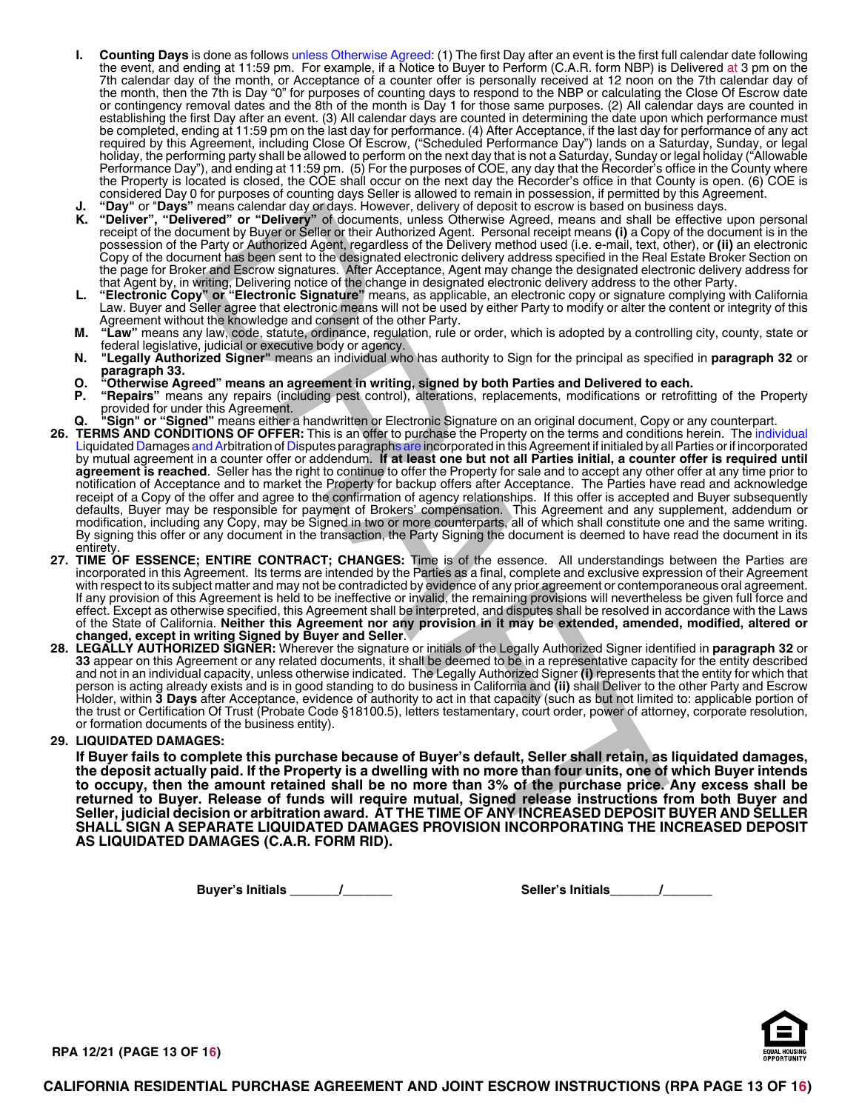- **I. Counting Days** is done as follows unless Otherwise Agreed: (1) The first Day after an event is the first full calendar date following the event, and ending at 11:59 pm. For example, if a Notice to Buyer to Perform (C.A.R. form NBP) is Delivered at 3 pm on the 7th calendar day of the month, or Acceptance of a counter offer is personally received at 12 noon on the 7th calendar day of the month, then the 7th is Day "0" for purposes of counting days to respond to the NBP or calculating the Close Of Escrow date or contingency removal dates and the 8th of the month is Day 1 for those same purposes. (2) All calendar days are counted in establishing the first Day after an event. (3) All calendar days are counted in determining the date upon which performance must be completed, ending at 11:59 pm on the last day for performance. (4) After Acceptance, if the last day for performance of any act required by this Agreement, including Close Of Escrow, ("Scheduled Performance Day") lands on a Saturday, Sunday, or legal holiday, the performing party shall be allowed to perform on the next day that is not a Saturday, Sunday or legal holiday ("Allowable Performance Day"), and ending at 11:59 pm. (5) For the purposes of COE, any day that the Recorder's office in the County where the Property is located is closed, the COE shall occur on the next day the Recorder's office in that County is open. (6) COE is considered Day 0 for purposes of counting days Seller is allowed to remain in possession, if permitted by this Agreement.
- **J. "Day"** or "**Days"** means calendar day or days. However, delivery of deposit to escrow is based on business days.
- **K. "Deliver", "Delivered" or "Delivery"** of documents, unless Otherwise Agreed, means and shall be effective upon personal receipt of the document by Buyer or Seller or their Authorized Agent. Personal receipt means **(i)** a Copy of the document is in the possession of the Party or Authorized Agent, regardless of the Delivery method used (i.e. e-mail, text, other), or **(ii)** an electronic Copy of the document has been sent to the designated electronic delivery address specified in the Real Estate Broker Section on the page for Broker and Escrow signatures. After Acceptance, Agent may change the designated electronic delivery address for that Agent by, in writing, Delivering notice of the change in designated electronic delivery address to the other Party.
- **L. "Electronic Copy" or "Electronic Signature"** means, as applicable, an electronic copy or signature complying with California Law. Buyer and Seller agree that electronic means will not be used by either Party to modify or alter the content or integrity of this Agreement without the knowledge and consent of the other Party.
- **M. "Law"** means any law, code, statute, ordinance, regulation, rule or order, which is adopted by a controlling city, county, state or federal legislative, judicial or executive body or agency.
- **N. "Legally Authorized Signer"** means an individual who has authority to Sign for the principal as specified in **paragraph 32** or **paragraph 33.**
- **O. "Otherwise Agreed" means an agreement in writing, signed by both Parties and Delivered to each.**
- **P. "Repairs"** means any repairs (including pest control), alterations, replacements, modifications or retrofitting of the Property provided for under this Agreement.
- means calendar day or day in Now to, delivery of deposits escreve is based on busines on the mean same and and the mean same of the mean same of the mean same of the mean same of the mean same of the mean same of the mean **Q. "Sign" or "Signed"** means either a handwritten or Electronic Signature on an original document, Copy or any counterpart. **26. TERMS AND CONDITIONS OF OFFER:** This is an offer to purchase the Property on the terms and conditions herein. The individual Liquidated Damages and Arbitration of Disputes paragraphs are incorporated in this Agreement if initialed by all Parties or if incorporated by mutual agreement in a counter offer or addendum. If at least one but not all Parties initial, a counter offer is required until **agreement is reached**. Seller has the right to continue to offer the Property for sale and to accept any other offer at any time prior to notification of Acceptance and to market the Property for backup offers after Acceptance. The Parties have read and acknowledge receipt of a Copy of the offer and agree to the confirmation of agency relationships. If this offer is accepted and Buyer subsequently defaults, Buyer may be responsible for payment of Brokers' compensation. This Agreement and any supplement, addendum or modification, including any Copy, may be Signed in two or more counterparts, all of which shall constitute one and the same writing. By signing this offer or any document in the transaction, the Party Signing the document is deemed to have read the document in its entirety.
- **27. TIME OF ESSENCE; ENTIRE CONTRACT; CHANGES:** Time is of the essence. All understandings between the Parties are incorporated in this Agreement. Its terms are intended by the Parties as a final, complete and exclusive expression of their Agreement with respect to its subject matter and may not be contradicted by evidence of any prior agreement or contemporaneous oral agreement. If any provision of this Agreement is held to be ineffective or invalid, the remaining provisions will nevertheless be given full force and effect. Except as otherwise specified, this Agreement shall be interpreted, and disputes shall be resolved in accordance with the Laws of the State of California. **Neither this Agreement nor any provision in it may be extended, amended, modified, altered or changed, except in writing Signed by Buyer and Seller**.
- **28. LEGALLY AUTHORIZED SIGNER:** Wherever the signature or initials of the Legally Authorized Signer identified in **paragraph 32** or **33** appear on this Agreement or any related documents, it shall be deemed to be in a representative capacity for the entity described and not in an individual capacity, unless otherwise indicated. The Legally Authorized Signer **(i)** represents that the entity for which that person is acting already exists and is in good standing to do business in California and **(ii)** shall Deliver to the other Party and Escrow Holder, within **3 Days** after Acceptance, evidence of authority to act in that capacity (such as but not limited to: applicable portion of the trust or Certification Of Trust (Probate Code §18100.5), letters testamentary, court order, power of attorney, corporate resolution, or formation documents of the business entity).

## **29. LIQUIDATED DAMAGES:**

**If Buyer fails to complete this purchase because of Buyer's default, Seller shall retain, as liquidated damages, the deposit actually paid. If the Property is a dwelling with no more than four units, one of which Buyer intends to occupy, then the amount retained shall be no more than 3% of the purchase price. Any excess shall be returned to Buyer. Release of funds will require mutual, Signed release instructions from both Buyer and Seller, judicial decision or arbitration award. AT THE TIME OF ANY INCREASED DEPOSIT BUYER AND SELLER SHALL SIGN A SEPARATE LIQUIDATED DAMAGES PROVISION INCORPORATING THE INCREASED DEPOSIT AS LIQUIDATED DAMAGES (C.A.R. FORM RID).**

 **Buyer's Initials \_\_\_\_\_\_\_/\_\_\_\_\_\_\_ Seller's Initials\_\_\_\_\_\_\_/\_\_\_\_\_\_\_**



**RPA 12/21 (PAGE 13 OF 16)**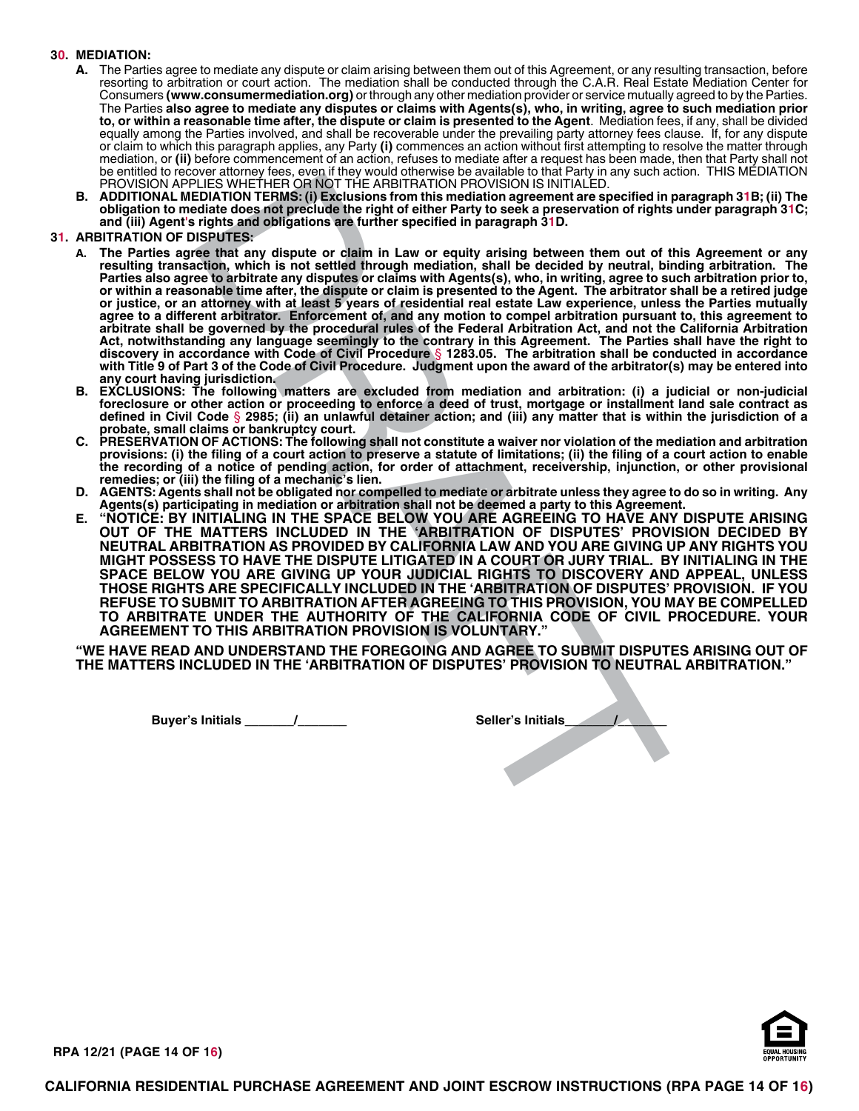### **30. MEDIATION:**

- **A.** The Parties agree to mediate any dispute or claim arising between them out of this Agreement, or any resulting transaction, before resorting to arbitration or court action. The mediation shall be conducted through the C.A.R. Real Estate Mediation Center for Consumers **(www.consumermediation.org)** or through any other mediation provider or service mutually agreed to by the Parties. The Parties **also agree to mediate any disputes or claims with Agents(s), who, in writing, agree to such mediation prior to, or within a reasonable time after, the dispute or claim is presented to the Agent**. Mediation fees, if any, shall be divided equally among the Parties involved, and shall be recoverable under the prevailing party attorney fees clause. If, for any dispute or claim to which this paragraph applies, any Party **(i)** commences an action without first attempting to resolve the matter through mediation, or **(ii)** before commencement of an action, refuses to mediate after a request has been made, then that Party shall not be entitled to recover attorney fees, even if they would otherwise be available to that Party in any such action. THIS MEDIATION PROVISION APPLIES WHETHER OR NOT THE ARBITRATION PROVISION IS INITIALED.
- **B. ADDITIONAL MEDIATION TERMS: (i) Exclusions from this mediation agreement are specified in paragraph 31B; (ii) The obligation to mediate does not preclude the right of either Party to seek a preservation of rights under paragraph 31C; and (iii) Agent's rights and obligations are further specified in paragraph 31D.**
- **31. ARBITRATION OF DISPUTES:**
- UES WHETHER GRANGT THE AREITFRATION PHONOGICALLY INCLUDED IN THE THINGEN INTERNATION TO THE AREITFRATION OF DISPUTES THANGT IN THE SPACE BELOW YOU ARE AGREENIG TO HAVE RET AND MONOGINET THE AREITFRATION PORTIFICATION INTO **A. The Parties agree that any dispute or claim in Law or equity arising between them out of this Agreement or any resulting transaction, which is not settled through mediation, shall be decided by neutral, binding arbitration. The Parties also agree to arbitrate any disputes or claims with Agents(s), who, in writing, agree to such arbitration prior to, or within a reasonable time after, the dispute or claim is presented to the Agent. The arbitrator shall be a retired judge or justice, or an attorney with at least 5 years of residential real estate Law experience, unless the Parties mutually agree to a different arbitrator. Enforcement of, and any motion to compel arbitration pursuant to, this agreement to arbitrate shall be governed by the procedural rules of the Federal Arbitration Act, and not the California Arbitration Act, notwithstanding any language seemingly to the contrary in this Agreement. The Parties shall have the right to discovery in accordance with Code of Civil Procedure** § **1283.05. The arbitration shall be conducted in accordance with Title 9 of Part 3 of the Code of Civil Procedure. Judgment upon the award of the arbitrator(s) may be entered into any court having jurisdiction.** 
	- **B. EXCLUSIONS: The following matters are excluded from mediation and arbitration: (i) a judicial or non-judicial foreclosure or other action or proceeding to enforce a deed of trust, mortgage or installment land sale contract as defined in Civil Code** § **2985; (ii) an unlawful detainer action; and (iii) any matter that is within the jurisdiction of a probate, small claims or bankruptcy court.**
	- **C. PRESERVATION OF ACTIONS: The following shall not constitute a waiver nor violation of the mediation and arbitration provisions: (i) the filing of a court action to preserve a statute of limitations; (ii) the filing of a court action to enable the recording of a notice of pending action, for order of attachment, receivership, injunction, or other provisional remedies; or (iii) the filing of a mechanic's lien.**
	- **D. AGENTS: Agents shall not be obligated nor compelled to mediate or arbitrate unless they agree to do so in writing. Any Agents(s) participating in mediation or arbitration shall not be deemed a party to this Agreement.**
	- **E. "NOTICE: BY INITIALING IN THE SPACE BELOW YOU ARE AGREEING TO HAVE ANY DISPUTE ARISING OUT OF THE MATTERS INCLUDED IN THE 'ARBITRATION OF DISPUTES' PROVISION DECIDED BY NEUTRAL ARBITRATION AS PROVIDED BY CALIFORNIA LAW AND YOU ARE GIVING UP ANY RIGHTS YOU MIGHT POSSESS TO HAVE THE DISPUTE LITIGATED IN A COURT OR JURY TRIAL. BY INITIALING IN THE SPACE BELOW YOU ARE GIVING UP YOUR JUDICIAL RIGHTS TO DISCOVERY AND APPEAL, UNLESS THOSE RIGHTS ARE SPECIFICALLY INCLUDED IN THE 'ARBITRATION OF DISPUTES' PROVISION. IF YOU REFUSE TO SUBMIT TO ARBITRATION AFTER AGREEING TO THIS PROVISION, YOU MAY BE COMPELLED TO ARBITRATE UNDER THE AUTHORITY OF THE CALIFORNIA CODE OF CIVIL PROCEDURE. YOUR AGREEMENT TO THIS ARBITRATION PROVISION IS VOLUNTARY."**

**"WE HAVE READ AND UNDERSTAND THE FOREGOING AND AGREE TO SUBMIT DISPUTES ARISING OUT OF THE MATTERS INCLUDED IN THE 'ARBITRATION OF DISPUTES' PROVISION TO NEUTRAL ARBITRATION."**

Buyer's Initials **National According Contract** 

| <b>Seller's Initials</b> |  |
|--------------------------|--|
|                          |  |
|                          |  |



**RPA 12/21 (PAGE 14 OF 16)**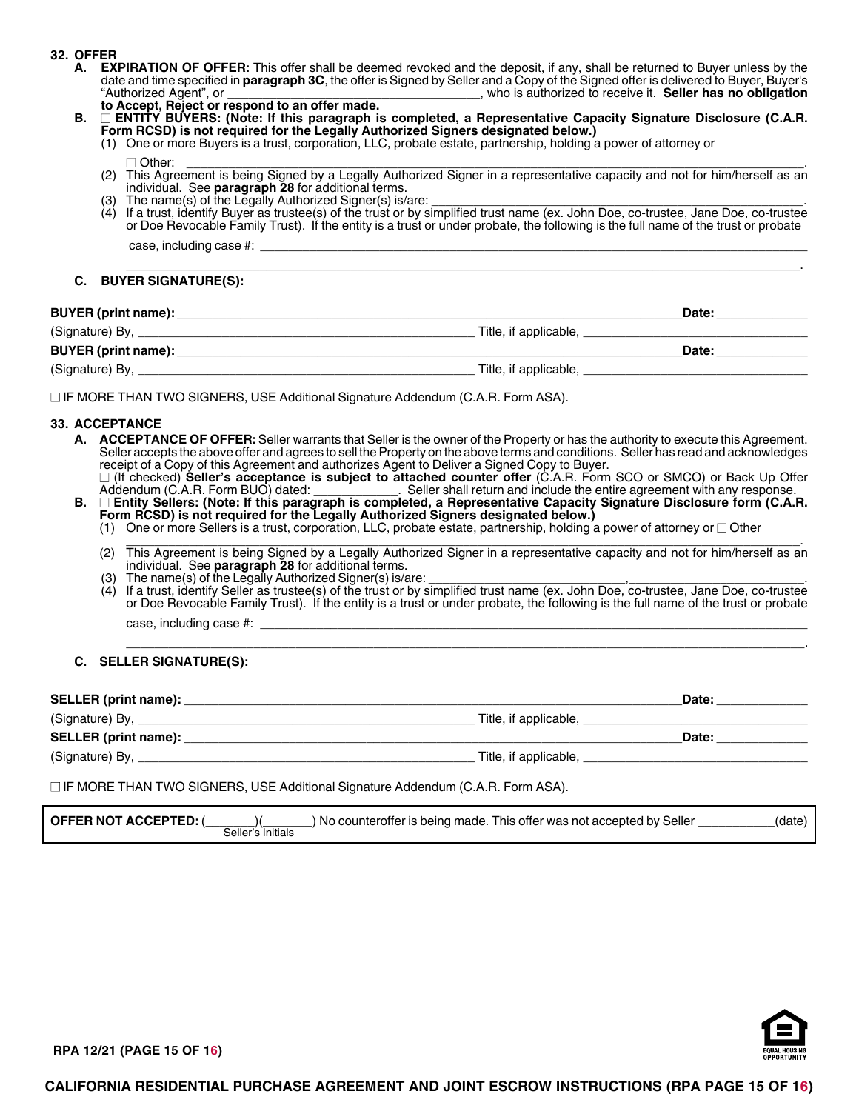### **32. OFFER**

- **A. EXPIRATION OF OFFER:** This offer shall be deemed revoked and the deposit, if any, shall be returned to Buyer unless by the date and time specified in **paragraph 3C**, the offer is Signed by Seller and a Copy of the Signed offer is delivered to Buyer, Buyer's  $\Box$ , who is authorized to receive it. Seller has no obligation
	- **to Accept, Reject or respond to an offer made.**
- **B.** □ ENTITY BUYERS: (Note: If this paragraph is completed, a Representative Capacity Signature Disclosure (C.A.R. **Form RCSD) is not required for the Legally Authorized Signers designated below.)**
	- (1) One or more Buyers is a trust, corporation, LLC, probate estate, partnership, holding a power of attorney or n Other: \_\_\_\_\_\_\_\_\_\_\_\_\_\_\_\_\_\_\_\_\_\_\_\_\_\_\_\_\_\_\_\_\_\_\_\_\_\_\_\_\_\_\_\_\_\_\_\_\_\_\_\_\_\_\_\_\_\_\_\_\_\_\_\_\_\_\_\_\_\_\_\_\_\_\_\_\_\_\_\_\_\_\_\_\_\_\_\_.
	- (2) This Agreement is being Signed by a Legally Authorized Signer in a representative capacity and not for him/herself as an individual. See **paragraph 28** for additional terms.
	- The name(s) of the Legally Authorized Signer(s) is/are:
	- (4) If a trust, identify Buyer as trustee(s) of the trust or by simplified trust name (ex. John Doe, co-trustee, Jane Doe, co-trustee or Doe Revocable Family Trust). If the entity is a trust or under probate, the following is the full name of the trust or probate case, including case #:

#### \_\_\_\_\_\_\_\_\_\_\_\_\_\_\_\_\_\_\_\_\_\_\_\_\_\_\_\_\_\_\_\_\_\_\_\_\_\_\_\_\_\_\_\_\_\_\_\_\_\_\_\_\_\_\_\_\_\_\_\_\_\_\_\_\_\_\_\_\_\_\_\_\_\_\_\_\_\_\_\_\_\_\_\_\_\_\_\_\_\_\_\_\_\_\_\_. **C. BUYER SIGNATURE(S):**

| BUYER (print name):    |                       | Date: |
|------------------------|-----------------------|-------|
| (Signature) By, $\Box$ | Title, if applicable, |       |
| BUYER (print name):    |                       | Date: |
| (Signature) By,        | Title, if applicable, |       |

 $\Box$  IF MORE THAN TWO SIGNERS, USE Additional Signature Addendum (C.A.R. Form ASA).

### **33. ACCEPTANCE**

- **A. ACCEPTANCE OF OFFER:** Seller warrants that Seller is the owner of the Property or has the authority to execute this Agreement. Seller accepts the above offer and agrees to sell the Property on the above terms and conditions. Seller has read and acknowledges receipt of a Copy of this Agreement and authorizes Agent to Deliver a Signed Copy to Buyer.
- □ (If checked) **Seller's acceptance is subject to attached counter offer** (C.A.R. Form SCO or SMCO) or Back Up Offer<br>Addendum (C.A.R. Form BUO) dated: \_\_\_\_\_\_\_\_\_\_\_\_\_\_\_. Seller shall return and include the entire agreement . Seller shall return and include the entire agreement with any response. **B.** □ Entity Sellers: (Note: If this paragraph is completed, a Representative Capacity Signature Disclosure form (C.A.R. **Form RCSD) is not required for the Legally Authorized Signers designated below.)**
	- (1) One or more Sellers is a trust, corporation, LLC, probate estate, partnership, holding a power of attorney or  $\Box$  Other
	- \_\_\_\_\_\_\_\_\_\_\_\_\_\_\_\_\_\_\_\_\_\_\_\_\_\_\_\_\_\_\_\_\_\_\_\_\_\_\_\_\_\_\_\_\_\_\_\_\_\_\_\_\_\_\_\_\_\_\_\_\_\_\_\_\_\_\_\_\_\_\_\_\_\_\_\_\_\_\_\_\_\_\_\_\_\_\_\_\_\_\_\_\_\_\_\_. (2) This Agreement is being Signed by a Legally Authorized Signer in a representative capacity and not for him/herself as an individual. See **paragraph 28** for additional terms.
	- (3) The name(s) of the Legally Authorized Signer(s) is/are:  $(4)$  If a trust identify Seller as trustee(s) of the trust or by s
	- If a trust, identify Seller as trustee(s) of the trust or by simplified trust name (ex. John Doe, co-trustee, Jane Doe, co-trustee or Doe Revocable Family Trust). If the entity is a trust or under probate, the following is the full name of the trust or probate

\_\_\_\_\_\_\_\_\_\_\_\_\_\_\_\_\_\_\_\_\_\_\_\_\_\_\_\_\_\_\_\_\_\_\_\_\_\_\_\_\_\_\_\_\_\_\_\_\_\_\_\_\_\_\_\_\_\_\_\_\_\_\_\_\_\_\_\_\_\_\_\_\_\_\_\_\_\_\_\_\_\_\_\_\_\_\_\_\_\_\_\_\_\_\_\_.

case, including case #:

### **C. SELLER SIGNATURE(S):**

| SELLER (print name):   |                       | Date: |
|------------------------|-----------------------|-------|
|                        | Title, if applicable, |       |
| SELLER (print name): _ |                       | Date: |
|                        | Title, if applicable, |       |
|                        |                       |       |

 $\square$  IF MORE THAN TWO SIGNERS, USE Additional Signature Addendum (C.A.R. Form ASA).

| <b>OFFER NOT ACCEPTED: (</b> |                   | ) No counteroffer is being made. This offer was not accepted by Seller | date) |
|------------------------------|-------------------|------------------------------------------------------------------------|-------|
|                              | Seller's Initials |                                                                        |       |



**RPA 12/21 (PAGE 15 OF 16)**